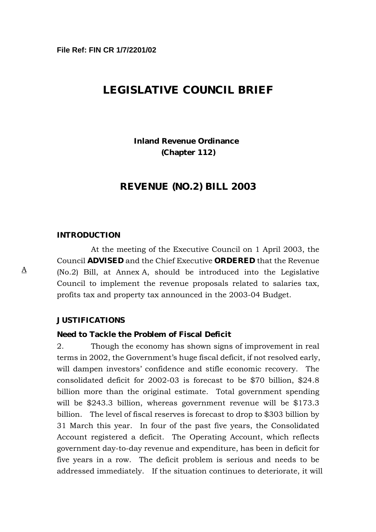# **LEGISLATIVE COUNCIL BRIEF**

# **Inland Revenue Ordinance (Chapter 112)**

### **REVENUE (NO.2) BILL 2003**

#### **INTRODUCTION**

At the meeting of the Executive Council on 1 April 2003, the Council **ADVISED** and the Chief Executive **ORDERED** that the Revenue (No.2) Bill, at Annex A, should be introduced into the Legislative Council to implement the revenue proposals related to salaries tax, profits tax and property tax announced in the 2003-04 Budget.

#### **JUSTIFICATIONS**

#### **Need to Tackle the Problem of Fiscal Deficit**

2. Though the economy has shown signs of improvement in real terms in 2002, the Government's huge fiscal deficit, if not resolved early, will dampen investors' confidence and stifle economic recovery. The consolidated deficit for 2002-03 is forecast to be \$70 billion, \$24.8 billion more than the original estimate. Total government spending will be \$243.3 billion, whereas government revenue will be \$173.3 billion. The level of fiscal reserves is forecast to drop to \$303 billion by 31 March this year. In four of the past five years, the Consolidated Account registered a deficit. The Operating Account, which reflects government day-to-day revenue and expenditure, has been in deficit for five years in a row. The deficit problem is serious and needs to be addressed immediately. If the situation continues to deteriorate, it will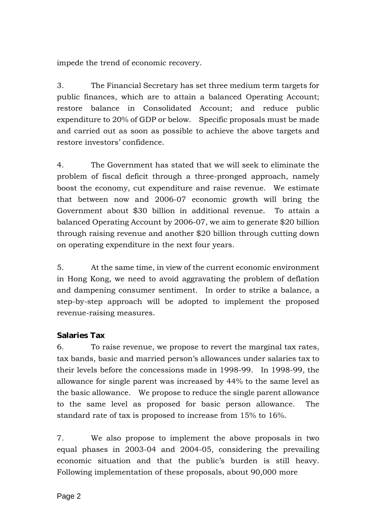impede the trend of economic recovery.

3. The Financial Secretary has set three medium term targets for public finances, which are to attain a balanced Operating Account; restore balance in Consolidated Account; and reduce public expenditure to 20% of GDP or below. Specific proposals must be made and carried out as soon as possible to achieve the above targets and restore investors' confidence.

4. The Government has stated that we will seek to eliminate the problem of fiscal deficit through a three-pronged approach, namely boost the economy, cut expenditure and raise revenue. We estimate that between now and 2006-07 economic growth will bring the Government about \$30 billion in additional revenue. To attain a balanced Operating Account by 2006-07, we aim to generate \$20 billion through raising revenue and another \$20 billion through cutting down on operating expenditure in the next four years.

5. At the same time, in view of the current economic environment in Hong Kong, we need to avoid aggravating the problem of deflation and dampening consumer sentiment. In order to strike a balance, a step-by-step approach will be adopted to implement the proposed revenue-raising measures.

# **Salaries Tax**

6. To raise revenue, we propose to revert the marginal tax rates, tax bands, basic and married person's allowances under salaries tax to their levels before the concessions made in 1998-99. In 1998-99, the allowance for single parent was increased by 44% to the same level as the basic allowance. We propose to reduce the single parent allowance to the same level as proposed for basic person allowance. The standard rate of tax is proposed to increase from 15% to 16%.

7. We also propose to implement the above proposals in two equal phases in 2003-04 and 2004-05, considering the prevailing economic situation and that the public's burden is still heavy. Following implementation of these proposals, about 90,000 more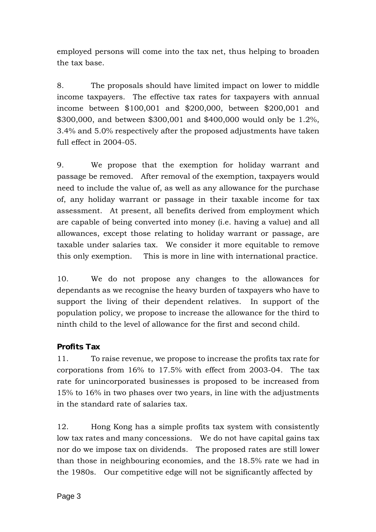employed persons will come into the tax net, thus helping to broaden the tax base.

8. The proposals should have limited impact on lower to middle income taxpayers. The effective tax rates for taxpayers with annual income between \$100,001 and \$200,000, between \$200,001 and \$300,000, and between \$300,001 and \$400,000 would only be 1.2%, 3.4% and 5.0% respectively after the proposed adjustments have taken full effect in 2004-05.

9. We propose that the exemption for holiday warrant and passage be removed. After removal of the exemption, taxpayers would need to include the value of, as well as any allowance for the purchase of, any holiday warrant or passage in their taxable income for tax assessment. At present, all benefits derived from employment which are capable of being converted into money (i.e. having a value) and all allowances, except those relating to holiday warrant or passage, are taxable under salaries tax. We consider it more equitable to remove this only exemption. This is more in line with international practice.

10. We do not propose any changes to the allowances for dependants as we recognise the heavy burden of taxpayers who have to support the living of their dependent relatives. In support of the population policy, we propose to increase the allowance for the third to ninth child to the level of allowance for the first and second child.

# **Profits Tax**

11. To raise revenue, we propose to increase the profits tax rate for corporations from 16% to 17.5% with effect from 2003-04. The tax rate for unincorporated businesses is proposed to be increased from 15% to 16% in two phases over two years, in line with the adjustments in the standard rate of salaries tax.

12. Hong Kong has a simple profits tax system with consistently low tax rates and many concessions. We do not have capital gains tax nor do we impose tax on dividends. The proposed rates are still lower than those in neighbouring economies, and the 18.5% rate we had in the 1980s. Our competitive edge will not be significantly affected by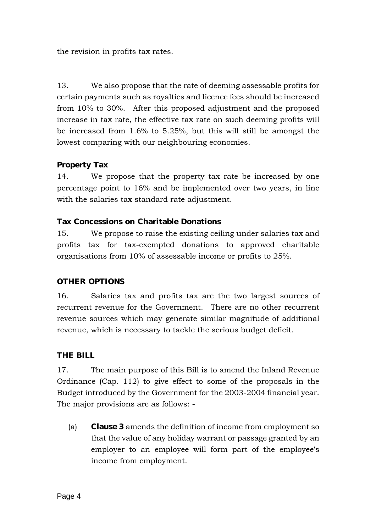the revision in profits tax rates.

13. We also propose that the rate of deeming assessable profits for certain payments such as royalties and licence fees should be increased from 10% to 30%. After this proposed adjustment and the proposed increase in tax rate, the effective tax rate on such deeming profits will be increased from 1.6% to 5.25%, but this will still be amongst the lowest comparing with our neighbouring economies.

# **Property Tax**

14. We propose that the property tax rate be increased by one percentage point to 16% and be implemented over two years, in line with the salaries tax standard rate adjustment.

## **Tax Concessions on Charitable Donations**

15. We propose to raise the existing ceiling under salaries tax and profits tax for tax-exempted donations to approved charitable organisations from 10% of assessable income or profits to 25%.

# **OTHER OPTIONS**

16. Salaries tax and profits tax are the two largest sources of recurrent revenue for the Government. There are no other recurrent revenue sources which may generate similar magnitude of additional revenue, which is necessary to tackle the serious budget deficit.

# **THE BILL**

17. The main purpose of this Bill is to amend the Inland Revenue Ordinance (Cap. 112) to give effect to some of the proposals in the Budget introduced by the Government for the 2003-2004 financial year. The major provisions are as follows: -

(a) **Clause 3** amends the definition of income from employment so that the value of any holiday warrant or passage granted by an employer to an employee will form part of the employee's income from employment.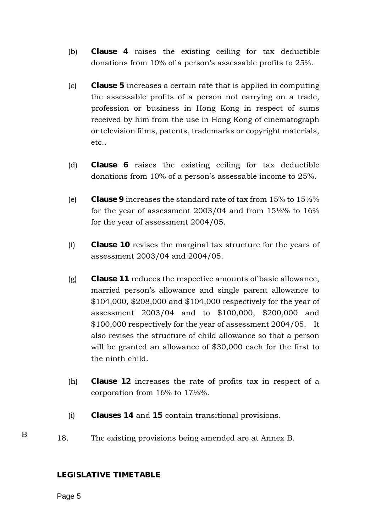- (b) **Clause 4** raises the existing ceiling for tax deductible donations from 10% of a person's assessable profits to 25%.
- (c) **Clause 5** increases a certain rate that is applied in computing the assessable profits of a person not carrying on a trade, profession or business in Hong Kong in respect of sums received by him from the use in Hong Kong of cinematograph or television films, patents, trademarks or copyright materials, etc..
- (d) **Clause 6** raises the existing ceiling for tax deductible donations from 10% of a person's assessable income to 25%.
- (e) **Clause 9** increases the standard rate of tax from 15% to 15½% for the year of assessment 2003/04 and from 15½% to 16% for the year of assessment 2004/05.
- (f) **Clause 10** revises the marginal tax structure for the years of assessment 2003/04 and 2004/05.
- (g) **Clause 11** reduces the respective amounts of basic allowance, married person's allowance and single parent allowance to \$104,000, \$208,000 and \$104,000 respectively for the year of assessment 2003/04 and to \$100,000, \$200,000 and \$100,000 respectively for the year of assessment 2004/05. It also revises the structure of child allowance so that a person will be granted an allowance of \$30,000 each for the first to the ninth child.
- (h) **Clause 12** increases the rate of profits tax in respect of a corporation from 16% to 17½%.
- (i) **Clauses 14** and **15** contain transitional provisions.
- 18. The existing provisions being amended are at Annex B.

#### **LEGISLATIVE TIMETABLE**

Page 5

B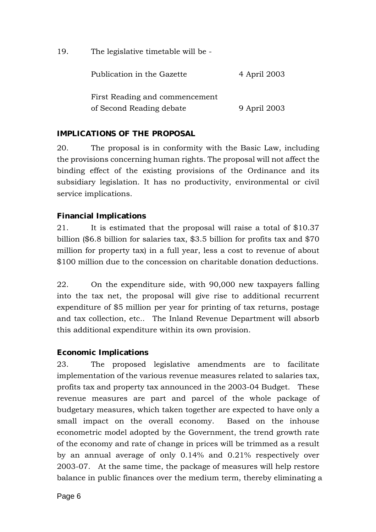19. The legislative timetable will be -

| Publication in the Gazette     | 4 April 2003 |
|--------------------------------|--------------|
| First Reading and commencement |              |
| of Second Reading debate       | 9 April 2003 |

# **IMPLICATIONS OF THE PROPOSAL**

20. The proposal is in conformity with the Basic Law, including the provisions concerning human rights. The proposal will not affect the binding effect of the existing provisions of the Ordinance and its subsidiary legislation. It has no productivity, environmental or civil service implications.

## **Financial Implications**

21. It is estimated that the proposal will raise a total of \$10.37 billion (\$6.8 billion for salaries tax, \$3.5 billion for profits tax and \$70 million for property tax) in a full year, less a cost to revenue of about \$100 million due to the concession on charitable donation deductions.

22. On the expenditure side, with 90,000 new taxpayers falling into the tax net, the proposal will give rise to additional recurrent expenditure of \$5 million per year for printing of tax returns, postage and tax collection, etc.. The Inland Revenue Department will absorb this additional expenditure within its own provision.

## **Economic Implications**

23. The proposed legislative amendments are to facilitate implementation of the various revenue measures related to salaries tax, profits tax and property tax announced in the 2003-04 Budget. These revenue measures are part and parcel of the whole package of budgetary measures, which taken together are expected to have only a small impact on the overall economy. Based on the inhouse econometric model adopted by the Government, the trend growth rate of the economy and rate of change in prices will be trimmed as a result by an annual average of only 0.14% and 0.21% respectively over 2003-07. At the same time, the package of measures will help restore balance in public finances over the medium term, thereby eliminating a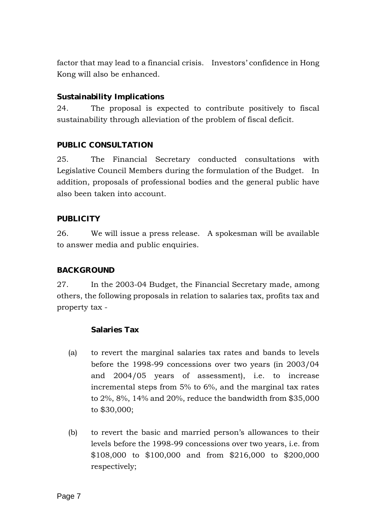factor that may lead to a financial crisis. Investors' confidence in Hong Kong will also be enhanced.

## **Sustainability Implications**

24. The proposal is expected to contribute positively to fiscal sustainability through alleviation of the problem of fiscal deficit.

## **PUBLIC CONSULTATION**

25. The Financial Secretary conducted consultations with Legislative Council Members during the formulation of the Budget. In addition, proposals of professional bodies and the general public have also been taken into account.

## **PUBLICITY**

26. We will issue a press release. A spokesman will be available to answer media and public enquiries.

## **BACKGROUND**

27. In the 2003-04 Budget, the Financial Secretary made, among others, the following proposals in relation to salaries tax, profits tax and property tax -

## **Salaries Tax**

- (a) to revert the marginal salaries tax rates and bands to levels before the 1998-99 concessions over two years (in 2003/04 and 2004/05 years of assessment), i.e. to increase incremental steps from 5% to 6%, and the marginal tax rates to 2%, 8%, 14% and 20%, reduce the bandwidth from \$35,000 to \$30,000;
- (b) to revert the basic and married person's allowances to their levels before the 1998-99 concessions over two years, i.e. from \$108,000 to \$100,000 and from \$216,000 to \$200,000 respectively;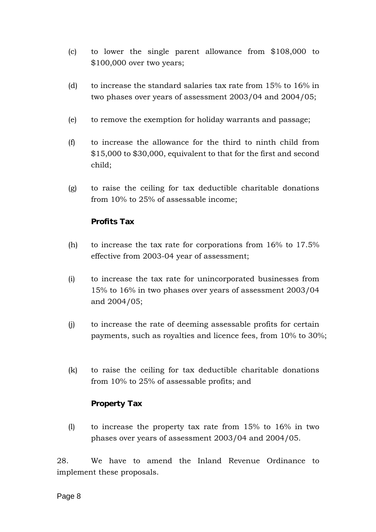- (c) to lower the single parent allowance from \$108,000 to \$100,000 over two years;
- (d) to increase the standard salaries tax rate from 15% to 16% in two phases over years of assessment 2003/04 and 2004/05;
- (e) to remove the exemption for holiday warrants and passage;
- (f) to increase the allowance for the third to ninth child from \$15,000 to \$30,000, equivalent to that for the first and second child;
- (g) to raise the ceiling for tax deductible charitable donations from 10% to 25% of assessable income;

## **Profits Tax**

- (h) to increase the tax rate for corporations from 16% to 17.5% effective from 2003-04 year of assessment;
- (i) to increase the tax rate for unincorporated businesses from 15% to 16% in two phases over years of assessment 2003/04 and 2004/05;
- (j) to increase the rate of deeming assessable profits for certain payments, such as royalties and licence fees, from 10% to 30%;
- (k) to raise the ceiling for tax deductible charitable donations from 10% to 25% of assessable profits; and

## **Property Tax**

(l) to increase the property tax rate from 15% to 16% in two phases over years of assessment 2003/04 and 2004/05.

28. We have to amend the Inland Revenue Ordinance to implement these proposals.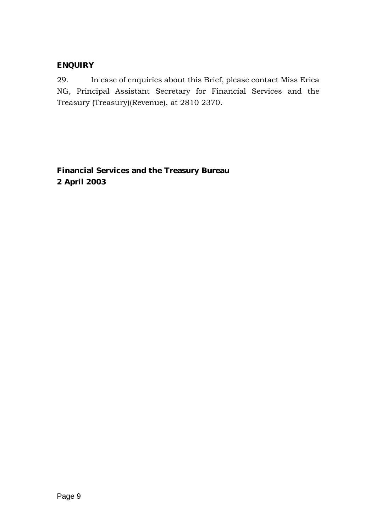# **ENQUIRY**

29. In case of enquiries about this Brief, please contact Miss Erica NG, Principal Assistant Secretary for Financial Services and the Treasury (Treasury)(Revenue), at 2810 2370.

**Financial Services and the Treasury Bureau 2 April 2003**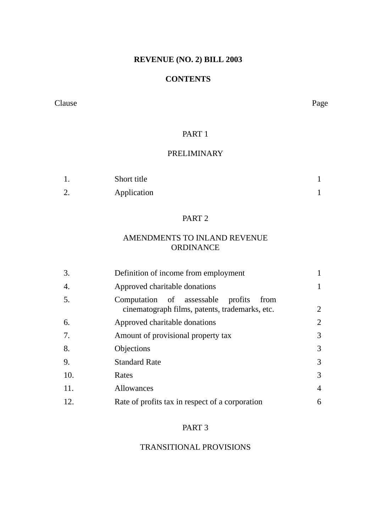## **REVENUE (NO. 2) BILL 2003**

#### **CONTENTS**

#### Clause Page

### PART<sub>1</sub>

# PRELIMINARY

|                      | Short title |  |
|----------------------|-------------|--|
| $\sim$<br><u>L</u> . | Application |  |

## PART 2

## AMENDMENTS TO INLAND REVENUE ORDINANCE

| Definition of income from employment                                                           |                |
|------------------------------------------------------------------------------------------------|----------------|
| Approved charitable donations                                                                  |                |
| Computation of assessable<br>profits<br>from<br>cinematograph films, patents, trademarks, etc. | $\overline{2}$ |
| Approved charitable donations                                                                  | $\overline{2}$ |
| Amount of provisional property tax                                                             | 3              |
| Objections                                                                                     | 3              |
| <b>Standard Rate</b>                                                                           | 3              |
| Rates                                                                                          | 3              |
| Allowances                                                                                     | $\overline{4}$ |
| Rate of profits tax in respect of a corporation                                                | 6              |
|                                                                                                |                |

# PART 3

## TRANSITIONAL PROVISIONS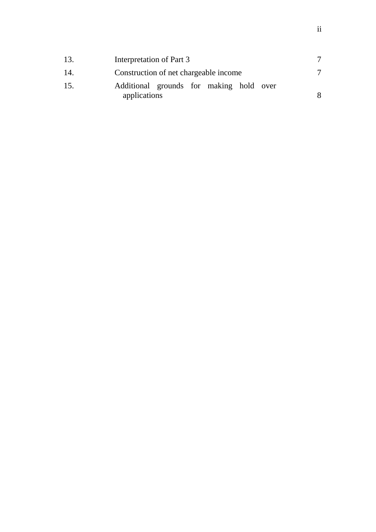| 13. | Interpretation of Part 3                                |   |
|-----|---------------------------------------------------------|---|
| 14. | Construction of net chargeable income                   |   |
| 15. | Additional grounds for making hold over<br>applications | 8 |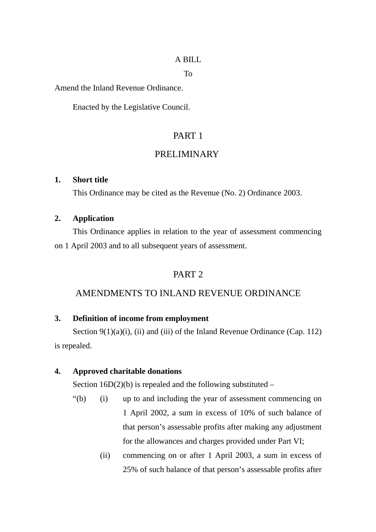### A BILL

To

Amend the Inland Revenue Ordinance.

Enacted by the Legislative Council.

# PART 1

## PRELIMINARY

#### **1. Short title**

<span id="page-11-0"></span>This Ordinance may be cited as the Revenue (No. 2) Ordinance 2003.

### <span id="page-11-1"></span>**2. Application**

This Ordinance applies in relation to the year of assessment commencing on 1 April 2003 and to all subsequent years of assessment.

## PART 2

### AMENDMENTS TO INLAND REVENUE ORDINANCE

### <span id="page-11-2"></span>**3. Definition of income from employment**

Section 9(1)(a)(i), (ii) and (iii) of the Inland Revenue Ordinance (Cap. 112) is repealed.

#### **4. Approved charitable donations**

<span id="page-11-3"></span>Section  $16D(2)(b)$  is repealed and the following substituted –

- "(b) (i) up to and including the year of assessment commencing on 1 April 2002, a sum in excess of 10% of such balance of that person's assessable profits after making any adjustment for the allowances and charges provided under Part VI;
	- (ii) commencing on or after 1 April 2003, a sum in excess of 25% of such balance of that person's assessable profits after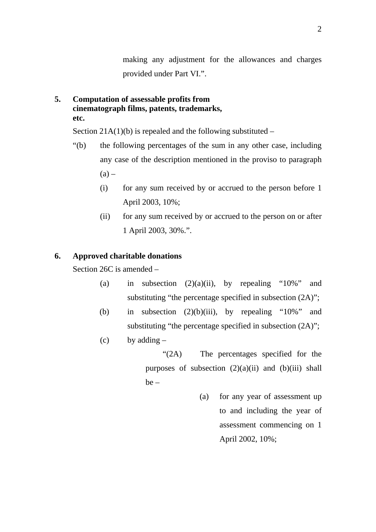making any adjustment for the allowances and charges provided under Part VI.".

<span id="page-12-0"></span>**5. Computation of assessable profits from cinematograph films, patents, trademarks, etc.**

Section  $21A(1)(b)$  is repealed and the following substituted –

- "(b) the following percentages of the sum in any other case, including any case of the description mentioned in the proviso to paragraph  $(a)$  –
	- (i) for any sum received by or accrued to the person before 1 April 2003, 10%;
	- (ii) for any sum received by or accrued to the person on or after 1 April 2003, 30%.".

## **6. Approved charitable donations**

<span id="page-12-1"></span>Section 26C is amended –

- (a) in subsection  $(2)(a)(ii)$ , by repealing "10%" and substituting "the percentage specified in subsection  $(2A)$ ";
- (b) in subsection  $(2)(b)(iii)$ , by repealing "10%" and substituting "the percentage specified in subsection  $(2A)$ ";
- $(c)$  by adding  $-$

"(2A) The percentages specified for the purposes of subsection  $(2)(a)(ii)$  and  $(b)(iii)$  shall be –

> (a) for any year of assessment up to and including the year of assessment commencing on 1 April 2002, 10%;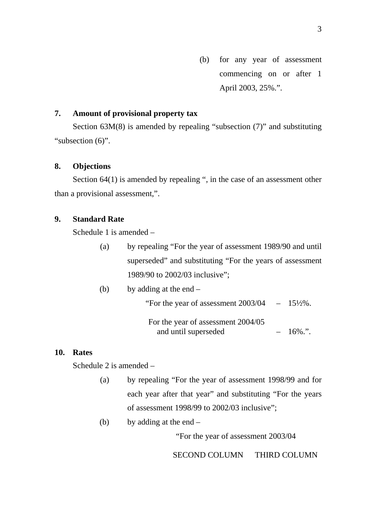(b) for any year of assessment commencing on or after 1 April 2003, 25%.".

## <span id="page-13-0"></span>**7. Amount of provisional property tax**

Section 63M(8) is amended by repealing "subsection (7)" and substituting "subsection (6)".

#### <span id="page-13-1"></span>**8. Objections**

Section 64(1) is amended by repealing ", in the case of an assessment other than a provisional assessment,".

#### **9. Standard Rate**

<span id="page-13-2"></span>Schedule 1 is amended –

(a) by repealing "For the year of assessment 1989/90 and until superseded" and substituting "For the years of assessment 1989/90 to 2002/03 inclusive";

| by adding at the end $-$<br>(b) |
|---------------------------------|
|---------------------------------|

"For the year of assessment  $2003/04 - 15\frac{1}{2}\%$ .

For the year of assessment 2004/05 and until superseded  $-16\%$ .".

#### **10. Rates**

<span id="page-13-3"></span>Schedule 2 is amended –

(a) by repealing "For the year of assessment 1998/99 and for each year after that year" and substituting "For the years of assessment 1998/99 to 2002/03 inclusive";

(b) by adding at the end  $-$ 

"For the year of assessment 2003/04

SECOND COLUMN THIRD COLUMN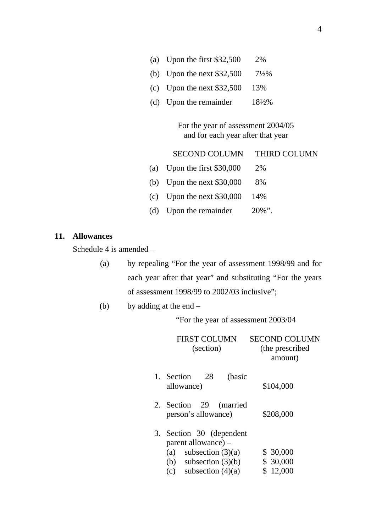- (a) Upon the first \$32,500 2%
- (b) Upon the next \$32,500 7½%
- (c) Upon the next \$32,500 13%
- (d) Upon the remainder  $18\frac{1}{2}\%$

For the year of assessment 2004/05 and for each year after that year

| <b>SECOND COLUMN</b>            | <b>THIRD COLUMN</b> |
|---------------------------------|---------------------|
| (a) Upon the first $$30,000$    | 2%                  |
| (b) Upon the next $$30,000$     | 8%                  |
| (c) Upon the next $$30,000$ 14% |                     |
|                                 |                     |

(d) Upon the remainder  $20\%$ ".

#### **11. Allowances**

<span id="page-14-0"></span>Schedule 4 is amended –

(a) by repealing "For the year of assessment 1998/99 and for each year after that year" and substituting "For the years of assessment 1998/99 to 2002/03 inclusive";

(b) by adding at the end –

"For the year of assessment 2003/04

|    | <b>FIRST COLUMN</b><br>(section)                                                                                                 | SECOND COLUMN<br>(the prescribed<br>amount) |
|----|----------------------------------------------------------------------------------------------------------------------------------|---------------------------------------------|
|    | 1. Section<br>(basic<br>28<br>allowance)                                                                                         | \$104,000                                   |
|    | 2. Section 29<br>(married<br>person's allowance)                                                                                 | \$208,000                                   |
| 3. | Section 30 (dependent<br>parent allowance) –<br>subsection $(3)(a)$<br>(a)<br>(b) subsection $(3)(b)$<br>(c) subsection $(4)(a)$ | \$30,000<br>\$30,000<br>\$12,000            |
|    |                                                                                                                                  |                                             |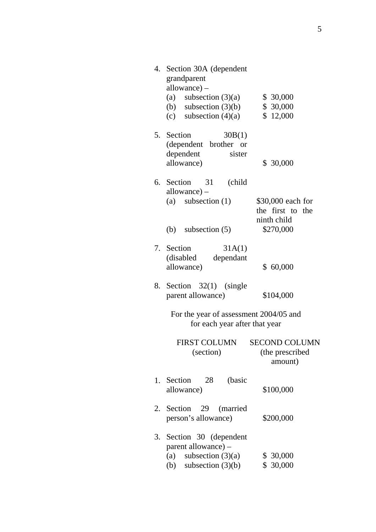<span id="page-15-0"></span>

| 4. | Section 30A (dependent<br>grandparent<br>$allowance) -$<br>(a) subsection $(3)(a)$<br>(b) subsection $(3)(b)$<br>(c) subsection $(4)(a)$ | \$30,000<br>\$ 30,000<br>\$12,000                                 |
|----|------------------------------------------------------------------------------------------------------------------------------------------|-------------------------------------------------------------------|
|    | 5. Section<br>30B(1)<br>(dependent brother or<br>dependent<br>sister<br>allowance)                                                       | \$ 30,000                                                         |
|    | 6. Section 31 (child<br>$allowance) -$<br>(a) subsection $(1)$<br>(b) subsection $(5)$                                                   | \$30,000 each for<br>the first to the<br>ninth child<br>\$270,000 |
|    | 7. Section<br>31A(1)<br>dependant<br>(disabled)<br>allowance)                                                                            | \$60,000                                                          |
|    | 8. Section 32(1) (single<br>parent allowance)                                                                                            | \$104,000                                                         |
|    | For the year of assessment 2004/05 and<br>for each year after that year                                                                  |                                                                   |
|    | <b>FIRST COLUMN</b><br>(section)                                                                                                         | <b>SECOND COLUMN</b><br>(the prescribed<br>amount)                |
| 1. | Section<br>28<br>(basic<br>allowance)                                                                                                    | \$100,000                                                         |
| 2. | Section 29<br>(married<br>person's allowance)                                                                                            | \$200,000                                                         |
| 3. | Section 30 (dependent<br>parent allowance) –<br>subsection $(3)(a)$<br>(a)<br>subsection $(3)(b)$<br>(b)                                 | \$ 30,000<br>\$ 30,000                                            |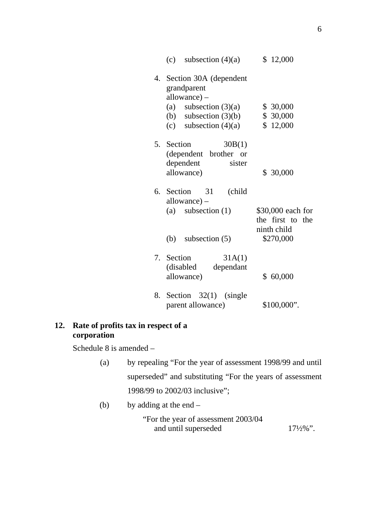|    | (c) subsection $(4)(a)$                                                                                                                     | \$12,000                                                          |
|----|---------------------------------------------------------------------------------------------------------------------------------------------|-------------------------------------------------------------------|
|    | 4. Section 30A (dependent<br>grandparent<br>$allowance) -$<br>(a) subsection $(3)(a)$<br>(b) subsection $(3)(b)$<br>(c) subsection $(4)(a)$ | \$30,000<br>\$30,000<br>\$12,000                                  |
|    | 5. Section<br>30B(1)<br>(dependent brother or<br>dependent<br>sister<br>allowance)                                                          | \$30,000                                                          |
| 6. | Section<br>31<br>(child<br>$allowance) -$<br>(a) subsection $(1)$<br>(b) subsection $(5)$                                                   | \$30,000 each for<br>the first to the<br>ninth child<br>\$270,000 |
|    | 7. Section<br>31A(1)<br>(disabled)<br>dependant<br>allowance)                                                                               | \$60,000                                                          |
| 8. | Section $32(1)$ (single<br>parent allowance)                                                                                                | \$100,000".                                                       |

## **12. Rate of profits tax in respect of a corporation**

Schedule 8 is amended –

- (a) by repealing "For the year of assessment 1998/99 and until superseded" and substituting "For the years of assessment 1998/99 to 2002/03 inclusive";
- (b) by adding at the end –

"For the year of assessment 2003/04 and until superseded 17½%".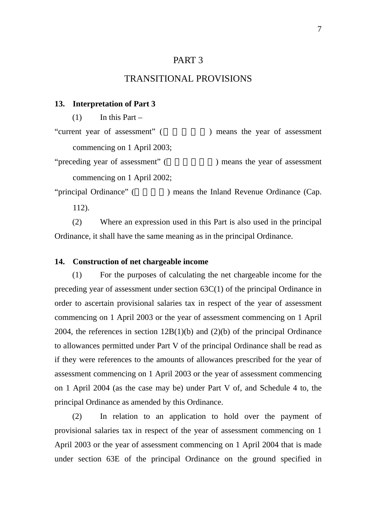## PART 3

### TRANSITIONAL PROVISIONS

#### **13. Interpretation of Part 3**

<span id="page-17-0"></span> $(1)$  In this Part –

"current year of assessment" (  $\qquad \qquad$ ) means the year of assessment

commencing on 1 April 2003;

"preceding year of assessment" (
Here is no means the year of assessment commencing on 1 April 2002;

"principal Ordinance" (The 2011) means the Inland Revenue Ordinance (Cap. 112).

(2) Where an expression used in this Part is also used in the principal Ordinance, it shall have the same meaning as in the principal Ordinance.

#### <span id="page-17-1"></span>**14. Construction of net chargeable income**

(1) For the purposes of calculating the net chargeable income for the preceding year of assessment under section 63C(1) of the principal Ordinance in order to ascertain provisional salaries tax in respect of the year of assessment commencing on 1 April 2003 or the year of assessment commencing on 1 April 2004, the references in section 12B(1)(b) and (2)(b) of the principal Ordinance to allowances permitted under Part V of the principal Ordinance shall be read as if they were references to the amounts of allowances prescribed for the year of assessment commencing on 1 April 2003 or the year of assessment commencing on 1 April 2004 (as the case may be) under Part V of, and Schedule 4 to, the principal Ordinance as amended by this Ordinance.

(2) In relation to an application to hold over the payment of provisional salaries tax in respect of the year of assessment commencing on 1 April 2003 or the year of assessment commencing on 1 April 2004 that is made under section 63E of the principal Ordinance on the ground specified in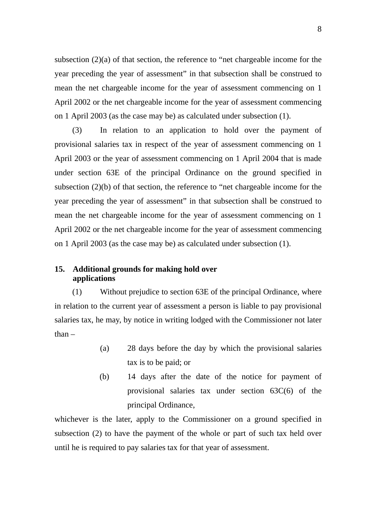subsection (2)(a) of that section, the reference to "net chargeable income for the year preceding the year of assessment" in that subsection shall be construed to mean the net chargeable income for the year of assessment commencing on 1 April 2002 or the net chargeable income for the year of assessment commencing on 1 April 2003 (as the case may be) as calculated under subsection (1).

(3) In relation to an application to hold over the payment of provisional salaries tax in respect of the year of assessment commencing on 1 April 2003 or the year of assessment commencing on 1 April 2004 that is made under section 63E of the principal Ordinance on the ground specified in subsection (2)(b) of that section, the reference to "net chargeable income for the year preceding the year of assessment" in that subsection shall be construed to mean the net chargeable income for the year of assessment commencing on 1 April 2002 or the net chargeable income for the year of assessment commencing on 1 April 2003 (as the case may be) as calculated under subsection (1).

### <span id="page-18-0"></span>**15. Additional grounds for making hold over applications**

(1) Without prejudice to section 63E of the principal Ordinance, where in relation to the current year of assessment a person is liable to pay provisional salaries tax, he may, by notice in writing lodged with the Commissioner not later than –

- (a) 28 days before the day by which the provisional salaries tax is to be paid; or
- (b) 14 days after the date of the notice for payment of provisional salaries tax under section 63C(6) of the principal Ordinance,

whichever is the later, apply to the Commissioner on a ground specified in subsection (2) to have the payment of the whole or part of such tax held over until he is required to pay salaries tax for that year of assessment.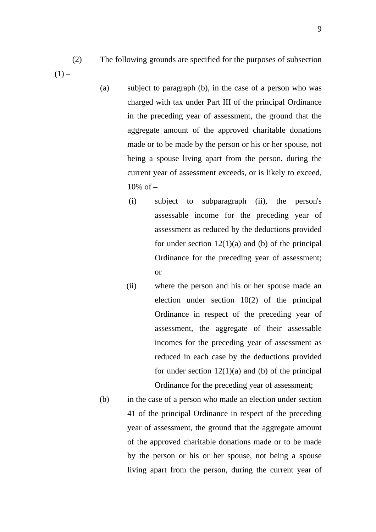- (2) The following grounds are specified for the purposes of subsection  $(1)$  –
	- (a) subject to paragraph (b), in the case of a person who was charged with tax under Part III of the principal Ordinance in the preceding year of assessment, the ground that the aggregate amount of the approved charitable donations made or to be made by the person or his or her spouse, not being a spouse living apart from the person, during the current year of assessment exceeds, or is likely to exceed,  $10\% \text{ of } -$ 
		- (i) subject to subparagraph (ii), the person's assessable income for the preceding year of assessment as reduced by the deductions provided for under section  $12(1)(a)$  and (b) of the principal Ordinance for the preceding year of assessment; or
		- (ii) where the person and his or her spouse made an election under section 10(2) of the principal Ordinance in respect of the preceding year of assessment, the aggregate of their assessable incomes for the preceding year of assessment as reduced in each case by the deductions provided for under section  $12(1)(a)$  and (b) of the principal Ordinance for the preceding year of assessment;
	- (b) in the case of a person who made an election under section 41 of the principal Ordinance in respect of the preceding year of assessment, the ground that the aggregate amount of the approved charitable donations made or to be made by the person or his or her spouse, not being a spouse living apart from the person, during the current year of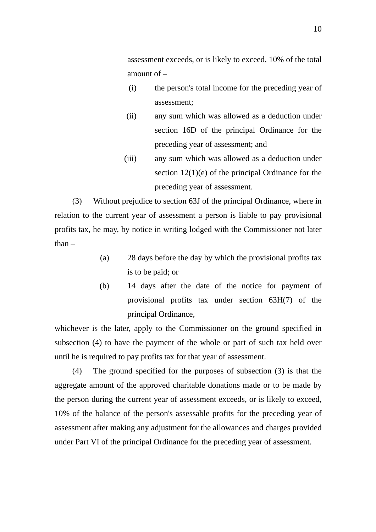assessment exceeds, or is likely to exceed, 10% of the total amount of –

- (i) the person's total income for the preceding year of assessment;
- (ii) any sum which was allowed as a deduction under section 16D of the principal Ordinance for the preceding year of assessment; and
- (iii) any sum which was allowed as a deduction under section 12(1)(e) of the principal Ordinance for the preceding year of assessment.

(3) Without prejudice to section 63J of the principal Ordinance, where in relation to the current year of assessment a person is liable to pay provisional profits tax, he may, by notice in writing lodged with the Commissioner not later than –

- (a) 28 days before the day by which the provisional profits tax is to be paid; or
- (b) 14 days after the date of the notice for payment of provisional profits tax under section 63H(7) of the principal Ordinance,

whichever is the later, apply to the Commissioner on the ground specified in subsection (4) to have the payment of the whole or part of such tax held over until he is required to pay profits tax for that year of assessment.

(4) The ground specified for the purposes of subsection (3) is that the aggregate amount of the approved charitable donations made or to be made by the person during the current year of assessment exceeds, or is likely to exceed, 10% of the balance of the person's assessable profits for the preceding year of assessment after making any adjustment for the allowances and charges provided under Part VI of the principal Ordinance for the preceding year of assessment.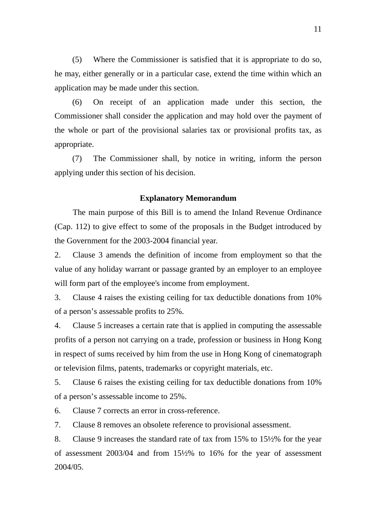(5) Where the Commissioner is satisfied that it is appropriate to do so, he may, either generally or in a particular case, extend the time within which an application may be made under this section.

(6) On receipt of an application made under this section, the Commissioner shall consider the application and may hold over the payment of the whole or part of the provisional salaries tax or provisional profits tax, as appropriate.

(7) The Commissioner shall, by notice in writing, inform the person applying under this section of his decision.

#### **Explanatory Memorandum**

The main purpose of this Bill is to amend the Inland Revenue Ordinance (Cap. 112) to give effect to some of the proposals in the Budget introduced by the Government for the 2003-2004 financial year.

2. Clause 3 amends the definition of income from employment so that the value of any holiday warrant or passage granted by an employer to an employee will form part of the employee's income from employment.

3. Clause 4 raises the existing ceiling for tax deductible donations from 10% of a person's assessable profits to 25%.

4. Clause 5 increases a certain rate that is applied in computing the assessable profits of a person not carrying on a trade, profession or business in Hong Kong in respect of sums received by him from the use in Hong Kong of cinematograph or television films, patents, trademarks or copyright materials, etc.

5. Clause 6 raises the existing ceiling for tax deductible donations from 10% of a person's assessable income to 25%.

6. Clause 7 corrects an error in cross-reference.

7. Clause 8 removes an obsolete reference to provisional assessment.

8. Clause 9 increases the standard rate of tax from 15% to 15½% for the year of assessment 2003/04 and from 15½% to 16% for the year of assessment 2004/05.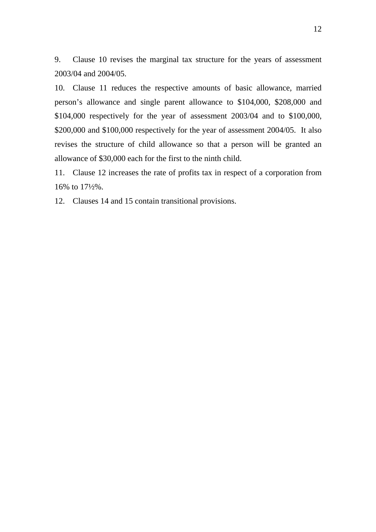9. Clause 10 revises the marginal tax structure for the years of assessment 2003/04 and 2004/05.

10. Clause 11 reduces the respective amounts of basic allowance, married person's allowance and single parent allowance to \$104,000, \$208,000 and \$104,000 respectively for the year of assessment 2003/04 and to \$100,000, \$200,000 and \$100,000 respectively for the year of assessment 2004/05. It also revises the structure of child allowance so that a person will be granted an allowance of \$30,000 each for the first to the ninth child.

11. Clause 12 increases the rate of profits tax in respect of a corporation from 16% to 17½%.

12. Clauses 14 and 15 contain transitional provisions.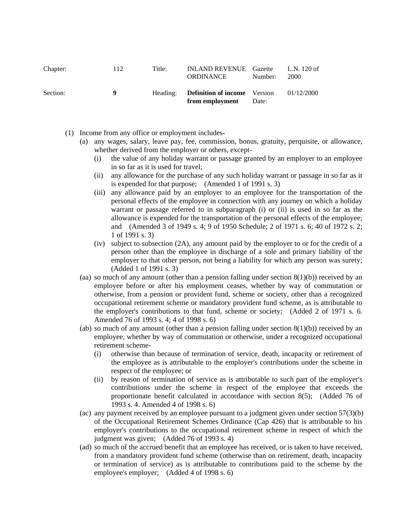| Chapter: | 112 | Title: | <b>INLAND REVENUE</b> Gazette<br>ORDINANCE                      | Number: | L.N. 120 of<br>2000 |
|----------|-----|--------|-----------------------------------------------------------------|---------|---------------------|
| Section: | -9  |        | Heading: <b>Definition of income</b> Version<br>from employment | Date:   | 01/12/2000          |

- (1) Income from any office or employment includes-
	- (a) any wages, salary, leave pay, fee, commission, bonus, gratuity, perquisite, or allowance, whether derived from the employer or others, except-
		- (i) the value of any holiday warrant or passage granted by an employer to an employee in so far as it is used for travel;
		- (ii) any allowance for the purchase of any such holiday warrant or passage in so far as it is expended for that purpose; (Amended 1 of 1991 s. 3)
		- (iii) any allowance paid by an employer to an employee for the transportation of the personal effects of the employee in connection with any journey on which a holiday warrant or passage referred to in subparagraph (i) or (ii) is used in so far as the allowance is expended for the transportation of the personal effects of the employee; and (Amended 3 of 1949 s. 4; 9 of 1950 Schedule; 2 of 1971 s. 6; 40 of 1972 s. 2; 1 of 1991 s. 3)
		- (iv) subject to subsection (2A), any amount paid by the employer to or for the credit of a person other than the employee in discharge of a sole and primary liability of the employer to that other person, not being a liability for which any person was surety; (Added 1 of 1991 s. 3)
	- (aa) so much of any amount (other than a pension falling under section  $8(1)(b)$ ) received by an employee before or after his employment ceases, whether by way of commutation or otherwise, from a pension or provident fund, scheme or society, other than a recognized occupational retirement scheme or mandatory provident fund scheme, as is attributable to the employer's contributions to that fund, scheme or society; (Added 2 of 1971 s. 6. Amended 76 of 1993 s. 4; 4 of 1998 s. 6)
	- (ab) so much of any amount (other than a pension falling under section  $8(1)(b)$ ) received by an employee, whether by way of commutation or otherwise, under a recognized occupational retirement scheme-
		- (i) otherwise than because of termination of service, death, incapacity or retirement of the employee as is attributable to the employer's contributions under the scheme in respect of the employee; or
		- (ii) by reason of termination of service as is attributable to such part of the employer's contributions under the scheme in respect of the employee that exceeds the proportionate benefit calculated in accordance with section 8(5); (Added 76 of 1993 s. 4. Amended 4 of 1998 s. 6)
	- (ac) any payment received by an employee pursuant to a judgment given under section 57(3)(b) of the Occupational Retirement Schemes Ordinance (Cap 426) that is attributable to his employer's contributions to the occupational retirement scheme in respect of which the judgment was given; (Added 76 of 1993 s. 4)
	- (ad) so much of the accrued benefit that an employee has received, or is taken to have received, from a mandatory provident fund scheme (otherwise than on retirement, death, incapacity or termination of service) as is attributable to contributions paid to the scheme by the employee's employer; (Added 4 of 1998 s. 6)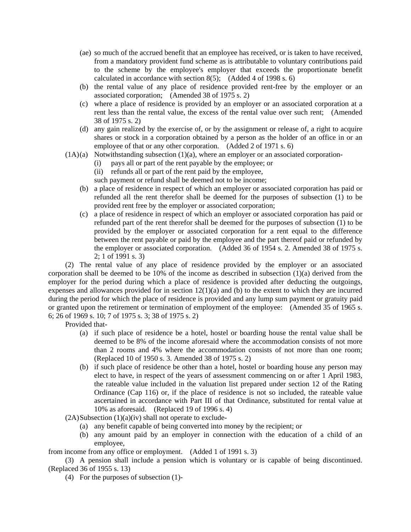- (ae) so much of the accrued benefit that an employee has received, or is taken to have received, from a mandatory provident fund scheme as is attributable to voluntary contributions paid to the scheme by the employee's employer that exceeds the proportionate benefit calculated in accordance with section  $8(5)$ ; (Added 4 of 1998 s. 6)
- (b) the rental value of any place of residence provided rent-free by the employer or an associated corporation; (Amended 38 of 1975 s. 2)
- (c) where a place of residence is provided by an employer or an associated corporation at a rent less than the rental value, the excess of the rental value over such rent; (Amended 38 of 1975 s. 2)
- (d) any gain realized by the exercise of, or by the assignment or release of, a right to acquire shares or stock in a corporation obtained by a person as the holder of an office in or an employee of that or any other corporation. (Added 2 of 1971 s. 6)
- $(1A)(a)$  Notwithstanding subsection  $(1)(a)$ , where an employer or an associated corporation-
	- (i) pays all or part of the rent payable by the employee; or
	- (ii) refunds all or part of the rent paid by the employee,
	- such payment or refund shall be deemed not to be income;
	- (b) a place of residence in respect of which an employer or associated corporation has paid or refunded all the rent therefor shall be deemed for the purposes of subsection (1) to be provided rent free by the employer or associated corporation;
	- (c) a place of residence in respect of which an employer or associated corporation has paid or refunded part of the rent therefor shall be deemed for the purposes of subsection (1) to be provided by the employer or associated corporation for a rent equal to the difference between the rent payable or paid by the employee and the part thereof paid or refunded by the employer or associated corporation. (Added 36 of 1954 s. 2. Amended 38 of 1975 s. 2; 1 of 1991 s. 3)

(2) The rental value of any place of residence provided by the employer or an associated corporation shall be deemed to be 10% of the income as described in subsection (1)(a) derived from the employer for the period during which a place of residence is provided after deducting the outgoings, expenses and allowances provided for in section  $12(1)(a)$  and (b) to the extent to which they are incurred during the period for which the place of residence is provided and any lump sum payment or gratuity paid or granted upon the retirement or termination of employment of the employee: (Amended 35 of 1965 s. 6; 26 of 1969 s. 10; 7 of 1975 s. 3; 38 of 1975 s. 2)

Provided that-

- (a) if such place of residence be a hotel, hostel or boarding house the rental value shall be deemed to be 8% of the income aforesaid where the accommodation consists of not more than 2 rooms and 4% where the accommodation consists of not more than one room; (Replaced 10 of 1950 s. 3. Amended 38 of 1975 s. 2)
- (b) if such place of residence be other than a hotel, hostel or boarding house any person may elect to have, in respect of the years of assessment commencing on or after 1 April 1983, the rateable value included in the valuation list prepared under section 12 of the Rating Ordinance (Cap 116) or, if the place of residence is not so included, the rateable value ascertained in accordance with Part III of that Ordinance, substituted for rental value at 10% as aforesaid. (Replaced 19 of 1996 s. 4)

 $(2A)$ Subsection  $(1)(a)(iv)$  shall not operate to exclude-

- (a) any benefit capable of being converted into money by the recipient; or
- (b) any amount paid by an employer in connection with the education of a child of an employee,

from income from any office or employment. (Added 1 of 1991 s. 3)

(3) A pension shall include a pension which is voluntary or is capable of being discontinued. (Replaced 36 of 1955 s. 13)

(4) For the purposes of subsection (1)-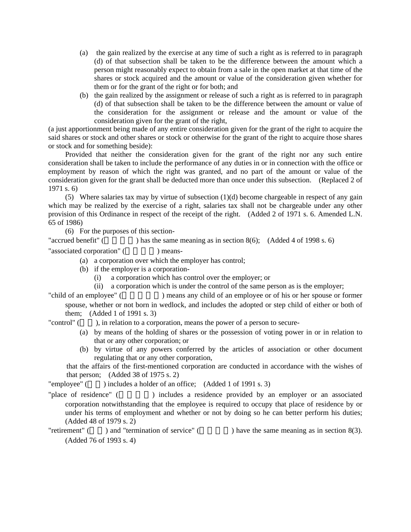- (a) the gain realized by the exercise at any time of such a right as is referred to in paragraph (d) of that subsection shall be taken to be the difference between the amount which a person might reasonably expect to obtain from a sale in the open market at that time of the shares or stock acquired and the amount or value of the consideration given whether for them or for the grant of the right or for both; and
- (b) the gain realized by the assignment or release of such a right as is referred to in paragraph (d) of that subsection shall be taken to be the difference between the amount or value of the consideration for the assignment or release and the amount or value of the consideration given for the grant of the right,

(a just apportionment being made of any entire consideration given for the grant of the right to acquire the said shares or stock and other shares or stock or otherwise for the grant of the right to acquire those shares or stock and for something beside):

Provided that neither the consideration given for the grant of the right nor any such entire consideration shall be taken to include the performance of any duties in or in connection with the office or employment by reason of which the right was granted, and no part of the amount or value of the consideration given for the grant shall be deducted more than once under this subsection. (Replaced 2 of 1971 s. 6)

(5) Where salaries tax may by virtue of subsection  $(1)(d)$  become chargeable in respect of any gain which may be realized by the exercise of a right, salaries tax shall not be chargeable under any other provision of this Ordinance in respect of the receipt of the right. (Added 2 of 1971 s. 6. Amended L.N. 65 of 1986)

(6) For the purposes of this section-

"accrued benefit" ( $\qquad \qquad$ ) has the same meaning as in section 8(6); (Added 4 of 1998 s. 6)

"associated corporation" (
https://www.fassociated.corporation" (
https://www.fassociated.corporation" (
https://www.fassociated.corporation" (
https://www.fassociated.corporation" (
https://www.fassociated.corporation" (

(a) a corporation over which the employer has control;

- (b) if the employer is a corporation-
	- (i) a corporation which has control over the employer; or

(ii) a corporation which is under the control of the same person as is the employer;

"child of an employee" (  $\Box$ ) means any child of an employee or of his or her spouse or former spouse, whether or not born in wedlock, and includes the adopted or step child of either or both of them; (Added 1 of 1991 s. 3)

"control"  $($ ), in relation to a corporation, means the power of a person to secure-

- (a) by means of the holding of shares or the possession of voting power in or in relation to that or any other corporation; or
- (b) by virtue of any powers conferred by the articles of association or other document regulating that or any other corporation,

that the affairs of the first-mentioned corporation are conducted in accordance with the wishes of that person; (Added 38 of 1975 s. 2)

"employee"  $($ ) includes a holder of an office;  $($ Added 1 of 1991 s. 3)

"place of residence" () includes a residence provided by an employer or an associated corporation notwithstanding that the employee is required to occupy that place of residence by or under his terms of employment and whether or not by doing so he can better perform his duties; (Added 48 of 1979 s. 2)

"retirement" ( $\qquad$ ) and "termination of service" ( $\qquad$ ) have the same meaning as in section 8(3). (Added 76 of 1993 s. 4)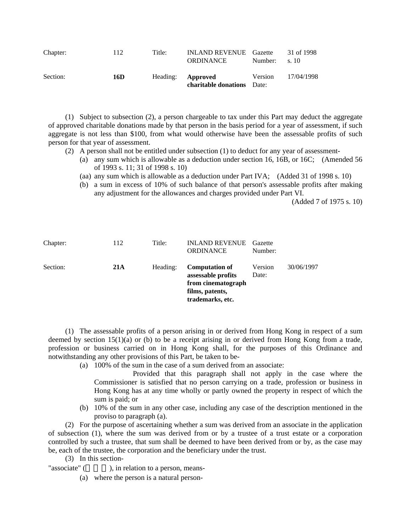| Chapter: | 112 | Title:                   | <b>INLAND REVENUE</b> Gazette<br><b>ORDINANCE</b> | Number:          | 31 of 1998<br>s.10 |
|----------|-----|--------------------------|---------------------------------------------------|------------------|--------------------|
| Section: | 16D | Heading: <b>Approved</b> | charitable donations                              | Version<br>Date: | 17/04/1998         |

(1) Subject to subsection (2), a person chargeable to tax under this Part may deduct the aggregate of approved charitable donations made by that person in the basis period for a year of assessment, if such aggregate is not less than \$100, from what would otherwise have been the assessable profits of such person for that year of assessment.

- (2) A person shall not be entitled under subsection (1) to deduct for any year of assessment-
	- (a) any sum which is allowable as a deduction under section 16, 16B, or 16C; (Amended 56 of 1993 s. 11; 31 of 1998 s. 10)
	- (aa) any sum which is allowable as a deduction under Part IVA; (Added 31 of 1998 s. 10)
	- (b) a sum in excess of 10% of such balance of that person's assessable profits after making any adjustment for the allowances and charges provided under Part VI.

(Added 7 of 1975 s. 10)

| Chapter: | 112 | Title:   | <b>INLAND REVENUE</b><br><b>ORDINANCE</b>                                                                | Gazette<br>Number: |            |
|----------|-----|----------|----------------------------------------------------------------------------------------------------------|--------------------|------------|
| Section: | 21A | Heading: | <b>Computation of</b><br>assessable profits<br>from cinematograph<br>films, patents,<br>trademarks, etc. | Version<br>Date:   | 30/06/1997 |

(1) The assessable profits of a person arising in or derived from Hong Kong in respect of a sum deemed by section 15(1)(a) or (b) to be a receipt arising in or derived from Hong Kong from a trade, profession or business carried on in Hong Kong shall, for the purposes of this Ordinance and notwithstanding any other provisions of this Part, be taken to be-

- (a) 100% of the sum in the case of a sum derived from an associate:
	- Provided that this paragraph shall not apply in the case where the Commissioner is satisfied that no person carrying on a trade, profession or business in Hong Kong has at any time wholly or partly owned the property in respect of which the sum is paid; or
- (b) 10% of the sum in any other case, including any case of the description mentioned in the proviso to paragraph (a).

(2) For the purpose of ascertaining whether a sum was derived from an associate in the application of subsection (1), where the sum was derived from or by a trustee of a trust estate or a corporation controlled by such a trustee, that sum shall be deemed to have been derived from or by, as the case may be, each of the trustee, the corporation and the beneficiary under the trust.

(3) In this section-

"associate"  $($ , in relation to a person, means-

(a) where the person is a natural person-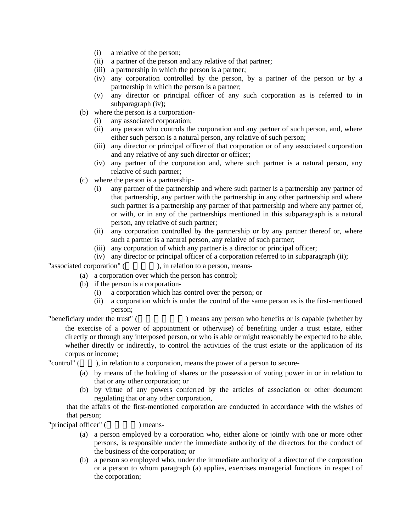- (i) a relative of the person;
- (ii) a partner of the person and any relative of that partner;
- (iii) a partnership in which the person is a partner;
- (iv) any corporation controlled by the person, by a partner of the person or by a partnership in which the person is a partner;
- (v) any director or principal officer of any such corporation as is referred to in subparagraph (iv);
- (b) where the person is a corporation-
	- (i) any associated corporation;
	- (ii) any person who controls the corporation and any partner of such person, and, where either such person is a natural person, any relative of such person;
	- (iii) any director or principal officer of that corporation or of any associated corporation and any relative of any such director or officer;
	- (iv) any partner of the corporation and, where such partner is a natural person, any relative of such partner;
- (c) where the person is a partnership-
	- (i) any partner of the partnership and where such partner is a partnership any partner of that partnership, any partner with the partnership in any other partnership and where such partner is a partnership any partner of that partnership and where any partner of, or with, or in any of the partnerships mentioned in this subparagraph is a natural person, any relative of such partner;
	- (ii) any corporation controlled by the partnership or by any partner thereof or, where such a partner is a natural person, any relative of such partner;
	- (iii) any corporation of which any partner is a director or principal officer;
	- (iv) any director or principal officer of a corporation referred to in subparagraph (ii);

"associated corporation" (  $\qquad \qquad$ ), in relation to a person, means-

- (a) a corporation over which the person has control;
- (b) if the person is a corporation-
	- (i) a corporation which has control over the person; or
	- (ii) a corporation which is under the control of the same person as is the first-mentioned person;

"beneficiary under the trust" ( The same same person who benefits or is capable (whether by the exercise of a power of appointment or otherwise) of benefiting under a trust estate, either directly or through any interposed person, or who is able or might reasonably be expected to be able, whether directly or indirectly, to control the activities of the trust estate or the application of its corpus or income;

"control" (Cellistic state of a corporation, means the power of a person to secure-

- (a) by means of the holding of shares or the possession of voting power in or in relation to that or any other corporation; or
- (b) by virtue of any powers conferred by the articles of association or other document regulating that or any other corporation,

that the affairs of the first-mentioned corporation are conducted in accordance with the wishes of that person;

"principal officer" (
(iii) means-

- (a) a person employed by a corporation who, either alone or jointly with one or more other persons, is responsible under the immediate authority of the directors for the conduct of the business of the corporation; or
- (b) a person so employed who, under the immediate authority of a director of the corporation or a person to whom paragraph (a) applies, exercises managerial functions in respect of the corporation;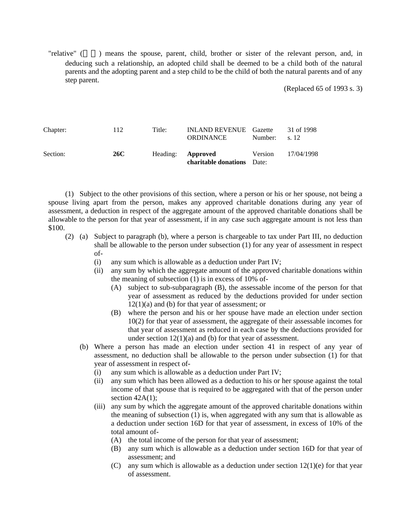"relative" () means the spouse, parent, child, brother or sister of the relevant person, and, in deducing such a relationship, an adopted child shall be deemed to be a child both of the natural parents and the adopting parent and a step child to be the child of both the natural parents and of any step parent.

(Replaced 65 of 1993 s. 3)

| Chapter: | 112 | Title:                   | <b>INLAND REVENUE</b> Gazette<br>ORDINANCE | Number: | 31 of 1998<br>s. 12 |
|----------|-----|--------------------------|--------------------------------------------|---------|---------------------|
| Section: | 26C | Heading: <b>Approved</b> | <b>charitable donations</b> Date:          | Version | 17/04/1998          |

(1) Subject to the other provisions of this section, where a person or his or her spouse, not being a spouse living apart from the person, makes any approved charitable donations during any year of assessment, a deduction in respect of the aggregate amount of the approved charitable donations shall be allowable to the person for that year of assessment, if in any case such aggregate amount is not less than \$100.

- (2) (a) Subject to paragraph (b), where a person is chargeable to tax under Part III, no deduction shall be allowable to the person under subsection (1) for any year of assessment in respect of-
	- (i) any sum which is allowable as a deduction under Part IV;
	- (ii) any sum by which the aggregate amount of the approved charitable donations within the meaning of subsection (1) is in excess of 10% of-
		- (A) subject to sub-subparagraph (B), the assessable income of the person for that year of assessment as reduced by the deductions provided for under section  $12(1)(a)$  and (b) for that year of assessment; or
		- (B) where the person and his or her spouse have made an election under section 10(2) for that year of assessment, the aggregate of their assessable incomes for that year of assessment as reduced in each case by the deductions provided for under section 12(1)(a) and (b) for that year of assessment.
	- (b) Where a person has made an election under section 41 in respect of any year of assessment, no deduction shall be allowable to the person under subsection (1) for that year of assessment in respect of-
		- (i) any sum which is allowable as a deduction under Part IV;
		- (ii) any sum which has been allowed as a deduction to his or her spouse against the total income of that spouse that is required to be aggregated with that of the person under section  $42A(1)$ ;
		- (iii) any sum by which the aggregate amount of the approved charitable donations within the meaning of subsection (1) is, when aggregated with any sum that is allowable as a deduction under section 16D for that year of assessment, in excess of 10% of the total amount of-
			- (A) the total income of the person for that year of assessment;
			- (B) any sum which is allowable as a deduction under section 16D for that year of assessment; and
			- (C) any sum which is allowable as a deduction under section  $12(1)(e)$  for that year of assessment.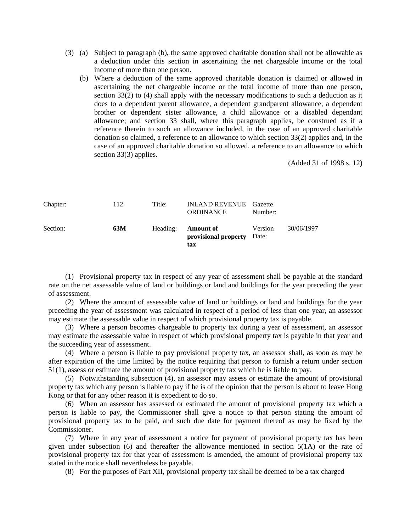- (3) (a) Subject to paragraph (b), the same approved charitable donation shall not be allowable as a deduction under this section in ascertaining the net chargeable income or the total income of more than one person.
	- (b) Where a deduction of the same approved charitable donation is claimed or allowed in ascertaining the net chargeable income or the total income of more than one person, section 33(2) to (4) shall apply with the necessary modifications to such a deduction as it does to a dependent parent allowance, a dependent grandparent allowance, a dependent brother or dependent sister allowance, a child allowance or a disabled dependant allowance; and section 33 shall, where this paragraph applies, be construed as if a reference therein to such an allowance included, in the case of an approved charitable donation so claimed, a reference to an allowance to which section 33(2) applies and, in the case of an approved charitable donation so allowed, a reference to an allowance to which section 33(3) applies.

(Added 31 of 1998 s. 12)

| Chapter: | 112 | Title:   | <b>INLAND REVENUE</b> Gazette<br><b>ORDINANCE</b>     | Number: |            |
|----------|-----|----------|-------------------------------------------------------|---------|------------|
| Section: | 63M | Heading: | <b>Amount of</b><br>provisional property Date:<br>tax | Version | 30/06/1997 |

(1) Provisional property tax in respect of any year of assessment shall be payable at the standard rate on the net assessable value of land or buildings or land and buildings for the year preceding the year of assessment.

(2) Where the amount of assessable value of land or buildings or land and buildings for the year preceding the year of assessment was calculated in respect of a period of less than one year, an assessor may estimate the assessable value in respect of which provisional property tax is payable.

(3) Where a person becomes chargeable to property tax during a year of assessment, an assessor may estimate the assessable value in respect of which provisional property tax is payable in that year and the succeeding year of assessment.

(4) Where a person is liable to pay provisional property tax, an assessor shall, as soon as may be after expiration of the time limited by the notice requiring that person to furnish a return under section 51(1), assess or estimate the amount of provisional property tax which he is liable to pay.

(5) Notwithstanding subsection (4), an assessor may assess or estimate the amount of provisional property tax which any person is liable to pay if he is of the opinion that the person is about to leave Hong Kong or that for any other reason it is expedient to do so.

(6) When an assessor has assessed or estimated the amount of provisional property tax which a person is liable to pay, the Commissioner shall give a notice to that person stating the amount of provisional property tax to be paid, and such due date for payment thereof as may be fixed by the Commissioner.

(7) Where in any year of assessment a notice for payment of provisional property tax has been given under subsection  $(6)$  and thereafter the allowance mentioned in section  $5(1)$  or the rate of provisional property tax for that year of assessment is amended, the amount of provisional property tax stated in the notice shall nevertheless be payable.

(8) For the purposes of Part XII, provisional property tax shall be deemed to be a tax charged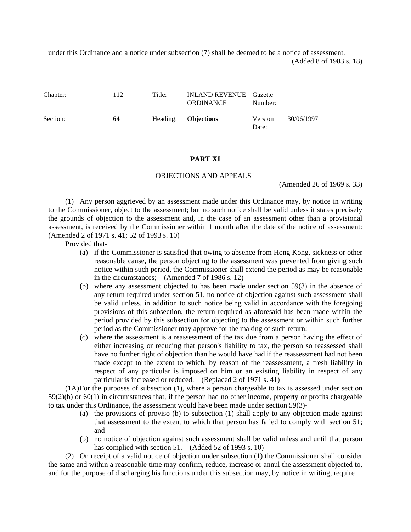under this Ordinance and a notice under subsection (7) shall be deemed to be a notice of assessment. (Added 8 of 1983 s. 18)

Chapter: 112 Title: INLAND REVENUE Gazette ORDINANCE Number: Section: **64** Heading: **Objections** Version Date: 30/06/1997

#### **PART XI**

#### OBJECTIONS AND APPEALS

(Amended 26 of 1969 s. 33)

(1) Any person aggrieved by an assessment made under this Ordinance may, by notice in writing to the Commissioner, object to the assessment; but no such notice shall be valid unless it states precisely the grounds of objection to the assessment and, in the case of an assessment other than a provisional assessment, is received by the Commissioner within 1 month after the date of the notice of assessment: (Amended 2 of 1971 s. 41; 52 of 1993 s. 10)

Provided that-

- (a) if the Commissioner is satisfied that owing to absence from Hong Kong, sickness or other reasonable cause, the person objecting to the assessment was prevented from giving such notice within such period, the Commissioner shall extend the period as may be reasonable in the circumstances; (Amended 7 of 1986 s. 12)
- (b) where any assessment objected to has been made under section 59(3) in the absence of any return required under section 51, no notice of objection against such assessment shall be valid unless, in addition to such notice being valid in accordance with the foregoing provisions of this subsection, the return required as aforesaid has been made within the period provided by this subsection for objecting to the assessment or within such further period as the Commissioner may approve for the making of such return;
- (c) where the assessment is a reassessment of the tax due from a person having the effect of either increasing or reducing that person's liability to tax, the person so reassessed shall have no further right of objection than he would have had if the reassessment had not been made except to the extent to which, by reason of the reassessment, a fresh liability in respect of any particular is imposed on him or an existing liability in respect of any particular is increased or reduced. (Replaced 2 of 1971 s. 41)

(1A)For the purposes of subsection (1), where a person chargeable to tax is assessed under section 59(2)(b) or 60(1) in circumstances that, if the person had no other income, property or profits chargeable to tax under this Ordinance, the assessment would have been made under section 59(3)-

- (a) the provisions of proviso (b) to subsection (1) shall apply to any objection made against that assessment to the extent to which that person has failed to comply with section 51; and
- (b) no notice of objection against such assessment shall be valid unless and until that person has complied with section 51. (Added 52 of 1993 s. 10)

(2) On receipt of a valid notice of objection under subsection (1) the Commissioner shall consider the same and within a reasonable time may confirm, reduce, increase or annul the assessment objected to, and for the purpose of discharging his functions under this subsection may, by notice in writing, require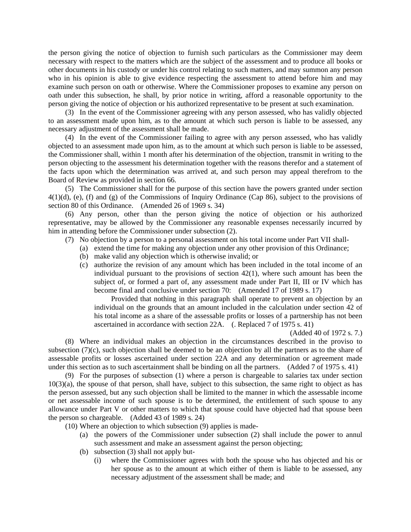the person giving the notice of objection to furnish such particulars as the Commissioner may deem necessary with respect to the matters which are the subject of the assessment and to produce all books or other documents in his custody or under his control relating to such matters, and may summon any person who in his opinion is able to give evidence respecting the assessment to attend before him and may examine such person on oath or otherwise. Where the Commissioner proposes to examine any person on oath under this subsection, he shall, by prior notice in writing, afford a reasonable opportunity to the person giving the notice of objection or his authorized representative to be present at such examination.

(3) In the event of the Commissioner agreeing with any person assessed, who has validly objected to an assessment made upon him, as to the amount at which such person is liable to be assessed, any necessary adjustment of the assessment shall be made.

(4) In the event of the Commissioner failing to agree with any person assessed, who has validly objected to an assessment made upon him, as to the amount at which such person is liable to be assessed, the Commissioner shall, within 1 month after his determination of the objection, transmit in writing to the person objecting to the assessment his determination together with the reasons therefor and a statement of the facts upon which the determination was arrived at, and such person may appeal therefrom to the Board of Review as provided in section 66.

(5) The Commissioner shall for the purpose of this section have the powers granted under section  $4(1)(d)$ , (e), (f) and (g) of the Commissions of Inquiry Ordinance (Cap 86), subject to the provisions of section 80 of this Ordinance. (Amended 26 of 1969 s. 34)

(6) Any person, other than the person giving the notice of objection or his authorized representative, may be allowed by the Commissioner any reasonable expenses necessarily incurred by him in attending before the Commissioner under subsection (2).

- (7) No objection by a person to a personal assessment on his total income under Part VII shall-
	- (a) extend the time for making any objection under any other provision of this Ordinance;
	- (b) make valid any objection which is otherwise invalid; or
	- (c) authorize the revision of any amount which has been included in the total income of an individual pursuant to the provisions of section 42(1), where such amount has been the subject of, or formed a part of, any assessment made under Part II, III or IV which has become final and conclusive under section 70: (Amended 17 of 1989 s. 17)

Provided that nothing in this paragraph shall operate to prevent an objection by an individual on the grounds that an amount included in the calculation under section 42 of his total income as a share of the assessable profits or losses of a partnership has not been ascertained in accordance with section 22A. (. Replaced 7 of 1975 s. 41)

(Added 40 of 1972 s. 7.)

(8) Where an individual makes an objection in the circumstances described in the proviso to subsection (7)(c), such objection shall be deemed to be an objection by all the partners as to the share of assessable profits or losses ascertained under section 22A and any determination or agreement made under this section as to such ascertainment shall be binding on all the partners. (Added 7 of 1975 s. 41)

(9) For the purposes of subsection (1) where a person is chargeable to salaries tax under section 10(3)(a), the spouse of that person, shall have, subject to this subsection, the same right to object as has the person assessed, but any such objection shall be limited to the manner in which the assessable income or net assessable income of such spouse is to be determined, the entitlement of such spouse to any allowance under Part V or other matters to which that spouse could have objected had that spouse been the person so chargeable. (Added 43 of 1989 s. 24)

(10) Where an objection to which subsection (9) applies is made-

- (a) the powers of the Commissioner under subsection (2) shall include the power to annul such assessment and make an assessment against the person objecting;
- (b) subsection (3) shall not apply but-
	- (i) where the Commissioner agrees with both the spouse who has objected and his or her spouse as to the amount at which either of them is liable to be assessed, any necessary adjustment of the assessment shall be made; and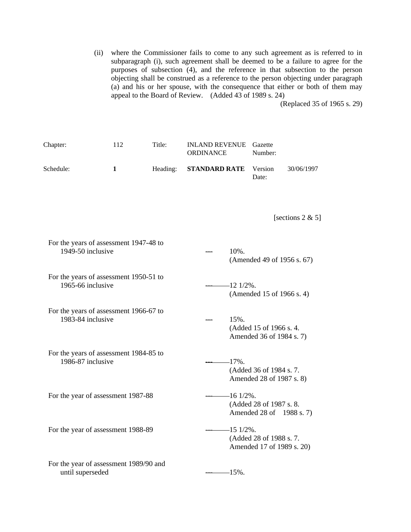(ii) where the Commissioner fails to come to any such agreement as is referred to in subparagraph (i), such agreement shall be deemed to be a failure to agree for the purposes of subsection (4), and the reference in that subsection to the person objecting shall be construed as a reference to the person objecting under paragraph (a) and his or her spouse, with the consequence that either or both of them may appeal to the Board of Review. (Added 43 of 1989 s. 24)

(Replaced 35 of 1965 s. 29)

| Chapter:          | 112                                    | Title:   | <b>INLAND REVENUE</b><br>ORDINANCE | Gazette<br>Number:                                  |                            |
|-------------------|----------------------------------------|----------|------------------------------------|-----------------------------------------------------|----------------------------|
| Schedule:         | 1                                      | Heading: | <b>STANDARD RATE</b>               | Version<br>Date:                                    | 30/06/1997                 |
|                   |                                        |          |                                    |                                                     | [sections $2 & 5$ ]        |
| 1949-50 inclusive | For the years of assessment 1947-48 to |          | 10%.                               |                                                     | (Amended 49 of 1956 s. 67) |
| 1965-66 inclusive | For the years of assessment 1950-51 to |          | $-121/2\%$ .                       | (Amended 15 of 1966 s. 4)                           |                            |
| 1983-84 inclusive | For the years of assessment 1966-67 to |          | 15%.                               | (Added 15 of 1966 s. 4.<br>Amended 36 of 1984 s. 7) |                            |
| 1986-87 inclusive | For the years of assessment 1984-85 to |          | $-17\%$ .                          | (Added 36 of 1984 s. 7.<br>Amended 28 of 1987 s. 8) |                            |
|                   | For the year of assessment 1987-88     |          | $-16$ 1/2%.                        | (Added 28 of 1987 s. 8.<br>Amended 28 of 1988 s. 7) |                            |
|                   | For the year of assessment 1988-89     |          | $-151/2\%$ .                       | (Added 28 of 1988 s.7.<br>Amended 17 of 1989 s. 20) |                            |
| until superseded  | For the year of assessment 1989/90 and |          | $-15%$ .                           |                                                     |                            |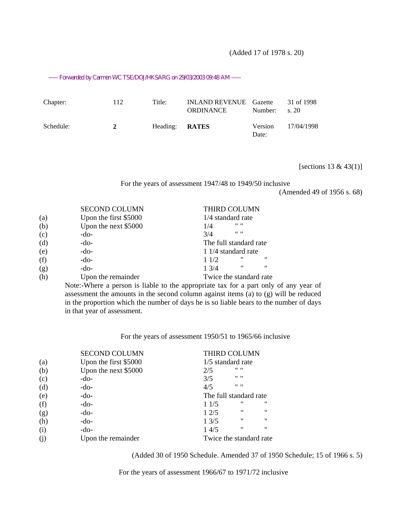(Added 17 of 1978 s. 20)

----- Forwarded by Carmen WC TSE/DOJ/HKSARG on 29/03/2003 09:48 AM -----

| Chapter:  | 112 | Title:                | <b>INLAND REVENUE</b> Gazette<br><b>ORDINANCE</b> | Number:          | 31 of 1998<br>s. 20 |
|-----------|-----|-----------------------|---------------------------------------------------|------------------|---------------------|
| Schedule: | 2   | Heading: <b>RATES</b> |                                                   | Version<br>Date: | 17/04/1998          |

[sections 13 & 43(1)]

For the years of assessment 1947/48 to 1949/50 inclusive

(Amended 49 of 1956 s. 68)

|     | <b>SECOND COLUMN</b>  | <b>THIRD COLUMN</b>            |  |  |
|-----|-----------------------|--------------------------------|--|--|
| (a) | Upon the first \$5000 | 1/4 standard rate              |  |  |
| (b) | Upon the next \$5000  | $11 - 11$<br>1/4               |  |  |
| (c) | -do-                  | $11 - 11$<br>3/4               |  |  |
| (d) | -do-                  | The full standard rate         |  |  |
| (e) | $-do-$                | 1 1/4 standard rate            |  |  |
| (f) | $-do-$                | "<br>"<br>11/2                 |  |  |
| (g) | $-do-$                | $^{\prime\prime}$<br>"<br>13/4 |  |  |
| (h) | Upon the remainder    | Twice the standard rate        |  |  |

Note:-Where a person is liable to the appropriate tax for a part only of any year of assessment the amounts in the second column against items (a) to (g) will be reduced in the proportion which the number of days he is so liable bears to the number of days in that year of assessment.

|     | <b>SECOND COLUMN</b>  | THIRD COLUMN                         |                   |
|-----|-----------------------|--------------------------------------|-------------------|
| (a) | Upon the first \$5000 | $1/5$ standard rate                  |                   |
| (b) | Upon the next \$5000  | $11 - 11$<br>2/5                     |                   |
| (c) | -do-                  | $11 - 11$<br>3/5                     |                   |
| (d) | -do-                  | $11 - 11$<br>4/5                     |                   |
| (e) | $-do-$                | The full standard rate               |                   |
| (f) | $-do-$                | $^{\prime\prime}$<br>11/5            | "                 |
| (g) | $-do-$                | "<br>12/5                            | $^{\prime\prime}$ |
| (h) | $-do-$                | $^{\prime\prime}$<br>$1 \frac{3}{5}$ | $^{\prime\prime}$ |
| (i) | $-do-$                | $^{\dagger}$<br>14/5                 | $^{\prime\prime}$ |
|     | Upon the remainder    | Twice the standard rate              |                   |

For the years of assessment 1950/51 to 1965/66 inclusive

(Added 30 of 1950 Schedule. Amended 37 of 1950 Schedule; 15 of 1966 s. 5)

For the years of assessment 1966/67 to 1971/72 inclusive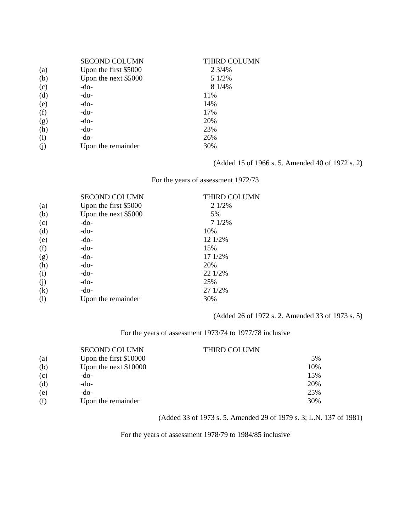|     | <b>SECOND COLUMN</b>  | THIRD COLUMN |
|-----|-----------------------|--------------|
| (a) | Upon the first \$5000 | 2 3/4%       |
| (b) | Upon the next \$5000  | 5 1/2%       |
| (c) | -do-                  | 8 1/4%       |
| (d) | -do-                  | 11%          |
| (e) | $-do-$                | 14%          |
| (f) | $-do-$                | 17%          |
| (g) | $-do-$                | 20%          |
| (h) | $-do-$                | 23%          |
| (i) | -do-                  | 26%          |
| (j) | Upon the remainder    | 30%          |

#### (Added 15 of 1966 s. 5. Amended 40 of 1972 s. 2)

For the years of assessment 1972/73

|     | <b>SECOND COLUMN</b>  | <b>THIRD COLUMN</b> |
|-----|-----------------------|---------------------|
| (a) | Upon the first \$5000 | 2 1/2%              |
| (b) | Upon the next \$5000  | 5%                  |
| (c) | $-do-$                | 71/2%               |
| (d) | $-do-$                | 10%                 |
| (e) | $-do-$                | 12 1/2%             |
| (f) | $-do-$                | 15%                 |
| (g) | $-do-$                | 17 1/2%             |
| (h) | $-do-$                | 20%                 |
| (i) | $-do-$                | 22 1/2%             |
| (j) | $-do-$                | 25%                 |
| (k) | -do-                  | 27 1/2%             |
| (1) | Upon the remainder    | 30%                 |
|     |                       |                     |

(Added 26 of 1972 s. 2. Amended 33 of 1973 s. 5)

For the years of assessment 1973/74 to 1977/78 inclusive

|     | <b>SECOND COLUMN</b>   | THIRD COLUMN |     |
|-----|------------------------|--------------|-----|
| (a) | Upon the first \$10000 |              | 5%  |
| (b) | Upon the next \$10000  |              | 10% |
| (c) | -do-                   |              | 15% |
| (d) | -do-                   |              | 20% |
| (e) | -do-                   |              | 25% |
| (f) | Upon the remainder     |              | 30% |

#### (Added 33 of 1973 s. 5. Amended 29 of 1979 s. 3; L.N. 137 of 1981)

For the years of assessment 1978/79 to 1984/85 inclusive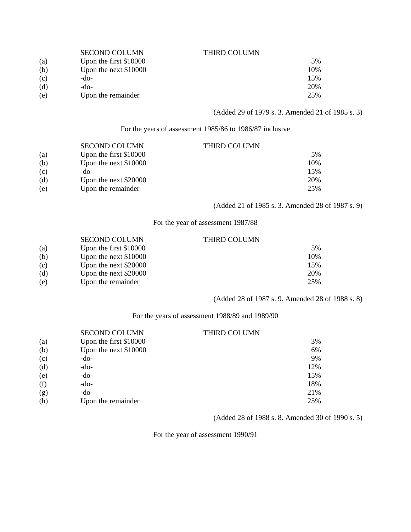|     | <b>SECOND COLUMN</b>    | THIRD COLUMN |     |
|-----|-------------------------|--------------|-----|
| (a) | Upon the first $$10000$ |              | 5%  |
| (b) | Upon the next $$10000$  |              | 10% |
| (c) | -do-                    |              | 15% |
| (d) | -do-                    |              | 20% |
| (e) | Upon the remainder      |              | 25% |

(Added 29 of 1979 s. 3. Amended 21 of 1985 s. 3)

For the years of assessment 1985/86 to 1986/87 inclusive

|     | <b>SECOND COLUMN</b>   | THIRD COLUMN |     |
|-----|------------------------|--------------|-----|
| (a) | Upon the first \$10000 |              | .5% |
| (b) | Upon the next \$10000  |              | 10% |
| (c) | -do-                   |              | 15% |
| (d) | Upon the next \$20000  |              | 20% |
| (e) | Upon the remainder     |              | 25% |

(Added 21 of 1985 s. 3. Amended 28 of 1987 s. 9)

For the year of assessment 1987/88

|     | <b>SECOND COLUMN</b>    | THIRD COLUMN |     |
|-----|-------------------------|--------------|-----|
| (a) | Upon the first $$10000$ |              | .5% |
| (b) | Upon the next $$10000$  |              | 10% |
| (c) | Upon the next \$20000   |              | 15% |
| (d) | Upon the next \$20000   |              | 20% |
| (e) | Upon the remainder      |              | 25% |

(Added 28 of 1987 s. 9. Amended 28 of 1988 s. 8)

For the years of assessment 1988/89 and 1989/90

|     | <b>SECOND COLUMN</b>   | THIRD COLUMN |     |
|-----|------------------------|--------------|-----|
| (a) | Upon the first \$10000 |              | 3%  |
| (b) | Upon the next \$10000  |              | 6%  |
| (c) | -do-                   |              | 9%  |
| (d) | $-do-$                 |              | 12% |
| (e) | $-do-$                 |              | 15% |
| (f) | $-do-$                 |              | 18% |
| (g) | $-do-$                 |              | 21% |
| (h) | Upon the remainder     |              | 25% |

(Added 28 of 1988 s. 8. Amended 30 of 1990 s. 5)

For the year of assessment 1990/91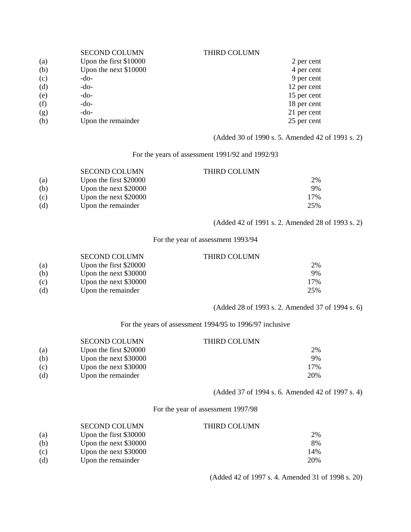|     | <b>SECOND COLUMN</b>   | <b>THIRD COLUMN</b> |             |
|-----|------------------------|---------------------|-------------|
| (a) | Upon the first \$10000 |                     | 2 per cent  |
| (b) | Upon the next \$10000  |                     | 4 per cent  |
| (c) | -do-                   |                     | 9 per cent  |
| (d) | -do-                   |                     | 12 per cent |
| (e) | -do-                   |                     | 15 per cent |
| (f) | -do-                   |                     | 18 per cent |
| (g) | -do-                   |                     | 21 per cent |
| (h) | Upon the remainder     |                     | 25 per cent |

(Added 30 of 1990 s. 5. Amended 42 of 1991 s. 2)

#### For the years of assessment 1991/92 and 1992/93

|     | <b>SECOND COLUMN</b>   | <b>THIRD COLUMN</b> |           |
|-----|------------------------|---------------------|-----------|
| (a) | Upon the first \$20000 |                     | <b>2%</b> |
| (b) | Upon the next \$20000  |                     | 9%        |
| (c) | Upon the next \$20000  |                     | 17%       |
| (d) | Upon the remainder     |                     | 25%       |

(Added 42 of 1991 s. 2. Amended 28 of 1993 s. 2)

For the year of assessment 1993/94

|     | <b>SECOND COLUMN</b>   | <b>THIRD COLUMN</b> |     |
|-----|------------------------|---------------------|-----|
| (a) | Upon the first \$20000 |                     | 2%  |
| (b) | Upon the next \$30000  |                     | 9%  |
| (c) | Upon the next \$30000  |                     | 17% |
| (d) | Upon the remainder     |                     | 25% |

(Added 28 of 1993 s. 2. Amended 37 of 1994 s. 6)

For the years of assessment 1994/95 to 1996/97 inclusive

|     | <b>SECOND COLUMN</b>   | THIRD COLUMN |     |
|-----|------------------------|--------------|-----|
| (a) | Upon the first \$20000 |              | 2%  |
| (b) | Upon the next \$30000  |              | 9%  |
| (c) | Upon the next \$30000  |              | 17% |
| (d) | Upon the remainder     |              | 20% |

(Added 37 of 1994 s. 6. Amended 42 of 1997 s. 4)

For the year of assessment 1997/98

|     | <b>SECOND COLUMN</b>   | THIRD COLUMN |     |
|-----|------------------------|--------------|-----|
| (a) | Upon the first \$30000 |              | 2%  |
| (b) | Upon the next \$30000  |              | 8%  |
| (c) | Upon the next \$30000  |              | 14% |
| (d) | Upon the remainder     |              | 20% |

(Added 42 of 1997 s. 4. Amended 31 of 1998 s. 20)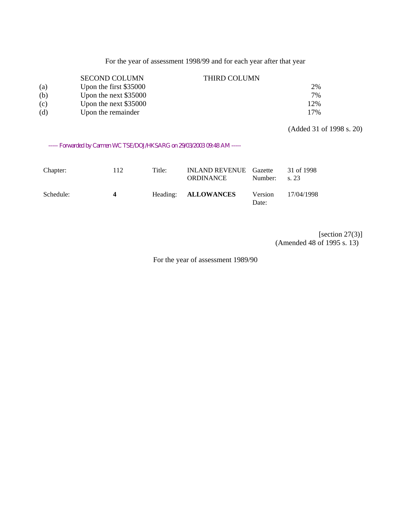For the year of assessment 1998/99 and for each year after that year

|     | <b>SECOND COLUMN</b>   | <b>THIRD COLUMN</b> |     |
|-----|------------------------|---------------------|-----|
| (a) | Upon the first \$35000 |                     | 2%  |
| (b) | Upon the next \$35000  |                     | 7%  |
| (c) | Upon the next \$35000  |                     | 12% |
| (d) | Upon the remainder     |                     | 17% |

(Added 31 of 1998 s. 20)

----- Forwarded by Carmen WC TSE/DOJ/HKSARG on 29/03/2003 09:48 AM -----

| Chapter:  | 112            | Title: | <b>INLAND REVENUE</b> Gazette<br>ORDINANCE | Number:          | 31 of 1998<br>s. 23 |
|-----------|----------------|--------|--------------------------------------------|------------------|---------------------|
| Schedule: | $\overline{4}$ |        | Heading: ALLOWANCES                        | Version<br>Date: | 17/04/1998          |

[section 27(3)] (Amended 48 of 1995 s. 13)

For the year of assessment 1989/90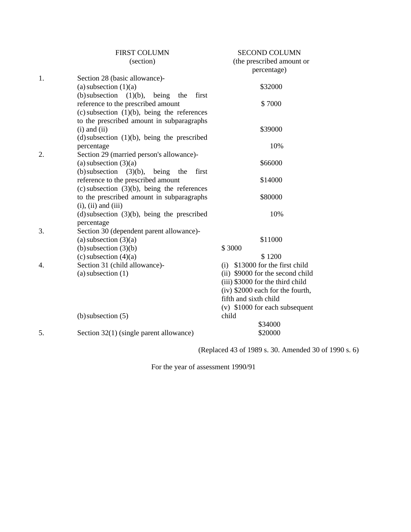|    | <b>FIRST COLUMN</b>                                   | <b>SECOND COLUMN</b>                     |
|----|-------------------------------------------------------|------------------------------------------|
|    | (section)                                             | (the prescribed amount or<br>percentage) |
| 1. | Section 28 (basic allowance)-                         |                                          |
|    | (a) subsection $(1)(a)$                               | \$32000                                  |
|    | (b) subsection<br>$(1)(b)$ ,<br>being<br>the<br>first |                                          |
|    | reference to the prescribed amount                    | \$7000                                   |
|    | $(c)$ subsection $(1)(b)$ , being the references      |                                          |
|    | to the prescribed amount in subparagraphs             |                                          |
|    | $(i)$ and $(ii)$                                      | \$39000                                  |
|    | $(d)$ subsection $(1)(b)$ , being the prescribed      |                                          |
|    | percentage                                            | 10%                                      |
| 2. | Section 29 (married person's allowance)-              |                                          |
|    | (a) subsection $(3)(a)$                               | \$66000                                  |
|    | (b) subsection $(3)(b)$ ,<br>being the<br>first       |                                          |
|    | reference to the prescribed amount                    | \$14000                                  |
|    | $(c)$ subsection $(3)(b)$ , being the references      |                                          |
|    | to the prescribed amount in subparagraphs             | \$80000                                  |
|    | $(i)$ , $(ii)$ and $(iii)$                            |                                          |
|    | $(d)$ subsection $(3)(b)$ , being the prescribed      | 10%                                      |
|    | percentage                                            |                                          |
| 3. | Section 30 (dependent parent allowance)-              |                                          |
|    | (a) subsection $(3)(a)$                               | \$11000                                  |
|    | $(b)$ subsection $(3)(b)$                             | \$3000                                   |
|    | $(c)$ subsection $(4)(a)$                             | \$1200                                   |
| 4. | Section 31 (child allowance)-                         | \$13000 for the first child<br>(i)       |
|    | $(a)$ subsection $(1)$                                | (ii) \$9000 for the second child         |
|    |                                                       | (iii) \$3000 for the third child         |
|    |                                                       | (iv) \$2000 each for the fourth,         |
|    |                                                       | fifth and sixth child                    |
|    |                                                       | $(v)$ \$1000 for each subsequent         |
|    | $(b)$ subsection $(5)$                                | child<br>\$34000                         |
| 5. | Section 32(1) (single parent allowance)               | \$20000                                  |
|    |                                                       |                                          |

(Replaced 43 of 1989 s. 30. Amended 30 of 1990 s. 6)

For the year of assessment 1990/91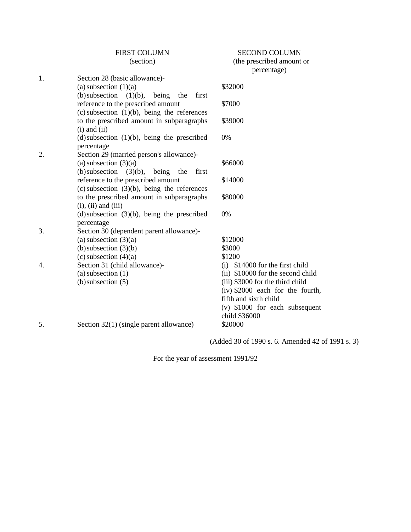|    | <b>FIRST COLUMN</b>                                   | <b>SECOND COLUMN</b>               |
|----|-------------------------------------------------------|------------------------------------|
|    | (section)                                             | (the prescribed amount or          |
|    |                                                       | percentage)                        |
| 1. | Section 28 (basic allowance)-                         |                                    |
|    | (a) subsection $(1)(a)$                               | \$32000                            |
|    | (b) subsection<br>being<br>first<br>$(1)(b)$ ,<br>the |                                    |
|    | reference to the prescribed amount                    | \$7000                             |
|    | $(c)$ subsection $(1)(b)$ , being the references      |                                    |
|    | to the prescribed amount in subparagraphs             | \$39000                            |
|    | $(i)$ and $(ii)$                                      |                                    |
|    | $(d)$ subsection $(1)(b)$ , being the prescribed      | 0%                                 |
|    | percentage                                            |                                    |
| 2. | Section 29 (married person's allowance)-              |                                    |
|    | (a) subsection $(3)(a)$                               | \$66000                            |
|    | (b) subsection<br>$(3)(b)$ ,<br>being<br>the<br>first |                                    |
|    | reference to the prescribed amount                    | \$14000                            |
|    | $(c)$ subsection $(3)(b)$ , being the references      |                                    |
|    | to the prescribed amount in subparagraphs             | \$80000                            |
|    | $(i)$ , $(ii)$ and $(iii)$                            |                                    |
|    | $(d)$ subsection $(3)(b)$ , being the prescribed      | 0%                                 |
|    | percentage                                            |                                    |
| 3. | Section 30 (dependent parent allowance)-              |                                    |
|    | (a) subsection $(3)(a)$                               | \$12000                            |
|    | $(b)$ subsection $(3)(b)$                             | \$3000                             |
|    | $(c)$ subsection $(4)(a)$                             | \$1200                             |
| 4. | Section 31 (child allowance)-                         | \$14000 for the first child<br>(i) |
|    | $(a)$ subsection $(1)$                                | (ii) \$10000 for the second child  |
|    | $(b)$ subsection $(5)$                                | (iii) \$3000 for the third child   |
|    |                                                       | $(iv)$ \$2000 each for the fourth, |
|    |                                                       | fifth and sixth child              |
|    |                                                       | (v) \$1000 for each subsequent     |
|    |                                                       | child \$36000                      |
| 5. | Section $32(1)$ (single parent allowance)             | \$20000                            |
|    |                                                       |                                    |

(Added 30 of 1990 s. 6. Amended 42 of 1991 s. 3)

For the year of assessment 1991/92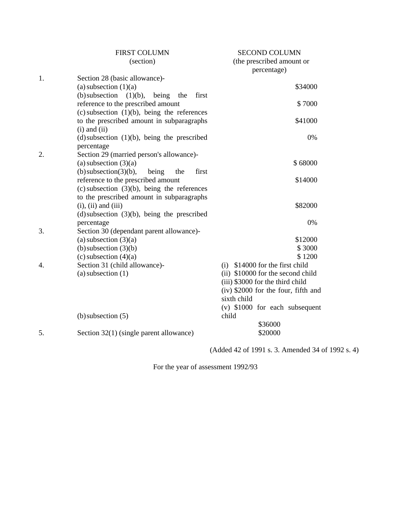|    | <b>FIRST COLUMN</b>                                  | <b>SECOND COLUMN</b>                  |
|----|------------------------------------------------------|---------------------------------------|
|    | (section)                                            | (the prescribed amount or             |
|    |                                                      | percentage)                           |
| 1. | Section 28 (basic allowance)-                        |                                       |
|    | (a) subsection $(1)(a)$                              | \$34000                               |
|    | (b) subsection<br>(1)(b),<br>being<br>first<br>the   |                                       |
|    | reference to the prescribed amount                   | \$7000                                |
|    | $(c)$ subsection $(1)(b)$ , being the references     |                                       |
|    | to the prescribed amount in subparagraphs            | \$41000                               |
|    | $(i)$ and $(ii)$                                     |                                       |
|    | $(d)$ subsection $(1)(b)$ , being the prescribed     | 0%                                    |
|    | percentage                                           |                                       |
| 2. | Section 29 (married person's allowance)-             |                                       |
|    | (a) subsection $(3)(a)$                              | \$68000                               |
|    | $(b)$ subsection(3)(b),<br>being<br>first<br>the     |                                       |
|    | reference to the prescribed amount                   | \$14000                               |
|    | $(c)$ subsection $(3)(b)$ , being the references     |                                       |
|    | to the prescribed amount in subparagraphs            |                                       |
|    | $(i)$ , $(ii)$ and $(iii)$                           | \$82000                               |
|    | $(d)$ subsection $(3)(b)$ , being the prescribed     |                                       |
|    | percentage                                           | 0%                                    |
| 3. | Section 30 (dependant parent allowance)-             |                                       |
|    | (a) subsection $(3)(a)$                              | \$12000<br>\$3000                     |
|    | $(b)$ subsection $(3)(b)$<br>(c) subsection $(4)(a)$ | \$1200                                |
| 4. | Section 31 (child allowance)-                        | $(i)$ \$14000 for the first child     |
|    | $(a)$ subsection $(1)$                               | (ii) \$10000 for the second child     |
|    |                                                      | (iii) \$3000 for the third child      |
|    |                                                      | $(iv)$ \$2000 for the four, fifth and |
|    |                                                      | sixth child                           |
|    |                                                      | (v) \$1000 for each subsequent        |
|    | $(b)$ subsection $(5)$                               | child                                 |
|    |                                                      | \$36000                               |
| 5. | Section $32(1)$ (single parent allowance)            | \$20000                               |
|    |                                                      |                                       |

(Added 42 of 1991 s. 3. Amended 34 of 1992 s. 4)

For the year of assessment 1992/93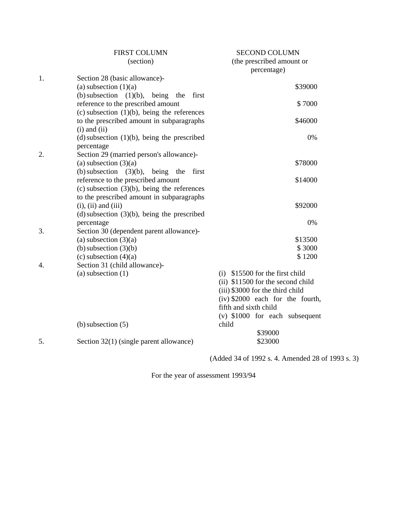|    | <b>FIRST COLUMN</b>                                    | <b>SECOND COLUMN</b>                     |
|----|--------------------------------------------------------|------------------------------------------|
|    | (section)                                              | (the prescribed amount or<br>percentage) |
| 1. | Section 28 (basic allowance)-                          |                                          |
|    | (a) subsection $(1)(a)$                                | \$39000                                  |
|    | (b) subsection (1)(b), being the<br>first              |                                          |
|    | reference to the prescribed amount                     | \$7000                                   |
|    | (c) subsection $(1)(b)$ , being the references         |                                          |
|    | to the prescribed amount in subparagraphs              | \$46000                                  |
|    | $(i)$ and $(ii)$                                       |                                          |
|    | (d) subsection $(1)(b)$ , being the prescribed         | 0%                                       |
|    | percentage                                             |                                          |
| 2. | Section 29 (married person's allowance)-               |                                          |
|    | (a) subsection $(3)(a)$                                | \$78000                                  |
|    | (b) subsection $(3)(b)$ , being the<br>first           |                                          |
|    | reference to the prescribed amount                     | \$14000                                  |
|    | $(c)$ subsection $(3)(b)$ , being the references       |                                          |
|    | to the prescribed amount in subparagraphs              |                                          |
|    | $(i)$ , $(ii)$ and $(iii)$                             | \$92000                                  |
|    | $(d)$ subsection $(3)(b)$ , being the prescribed       | 0%                                       |
| 3. | percentage<br>Section 30 (dependent parent allowance)- |                                          |
|    | (a) subsection $(3)(a)$                                | \$13500                                  |
|    | (b) subsection $(3)(b)$                                | \$3000                                   |
|    | $(c)$ subsection $(4)(a)$                              | \$1200                                   |
| 4. | Section 31 (child allowance)-                          |                                          |
|    | $(a)$ subsection $(1)$                                 | $(i)$ \$15500 for the first child        |
|    |                                                        | (ii) \$11500 for the second child        |
|    |                                                        | (iii) \$3000 for the third child         |
|    |                                                        | (iv) \$2000 each for the fourth,         |
|    |                                                        | fifth and sixth child                    |
|    |                                                        | $(v)$ \$1000 for each subsequent         |
|    | $(b)$ subsection $(5)$                                 | child                                    |
|    |                                                        | \$39000                                  |
| 5. | Section 32(1) (single parent allowance)                | \$23000                                  |
|    |                                                        |                                          |

(Added 34 of 1992 s. 4. Amended 28 of 1993 s. 3)

For the year of assessment 1993/94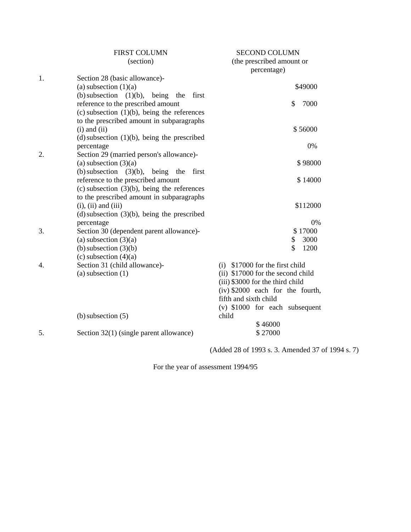|    | <b>FIRST COLUMN</b>                                                 | <b>SECOND COLUMN</b>              |
|----|---------------------------------------------------------------------|-----------------------------------|
|    | (section)                                                           | (the prescribed amount or         |
|    |                                                                     | percentage)                       |
| 1. | Section 28 (basic allowance)-                                       |                                   |
|    | (a) subsection $(1)(a)$                                             | \$49000                           |
|    | (b) subsection (1)(b), being<br>the<br>first                        |                                   |
|    | reference to the prescribed amount                                  | \$<br>7000                        |
|    | $(c)$ subsection $(1)(b)$ , being the references                    |                                   |
|    | to the prescribed amount in subparagraphs                           |                                   |
|    | $(i)$ and $(ii)$                                                    | \$56000                           |
|    | (d) subsection $(1)(b)$ , being the prescribed                      |                                   |
|    | percentage                                                          | 0%                                |
| 2. | Section 29 (married person's allowance)-<br>(a) subsection $(3)(a)$ | \$98000                           |
|    | (b) subsection $(3)(b)$ , being the first                           |                                   |
|    | reference to the prescribed amount                                  | \$14000                           |
|    | $(c)$ subsection $(3)(b)$ , being the references                    |                                   |
|    | to the prescribed amount in subparagraphs                           |                                   |
|    | $(i)$ , $(ii)$ and $(iii)$                                          | \$112000                          |
|    | $(d)$ subsection $(3)(b)$ , being the prescribed                    |                                   |
|    | percentage                                                          | 0%                                |
| 3. | Section 30 (dependent parent allowance)-                            | \$17000                           |
|    | (a) subsection $(3)(a)$                                             | 3000<br>\$                        |
|    | (b) subsection $(3)(b)$                                             | \$<br>1200                        |
|    | (c) subsection $(4)(a)$                                             |                                   |
| 4. | Section 31 (child allowance)-                                       | $(i)$ \$17000 for the first child |
|    | $(a)$ subsection $(1)$                                              | (ii) \$17000 for the second child |
|    |                                                                     | (iii) \$3000 for the third child  |
|    |                                                                     | (iv) \$2000 each for the fourth,  |
|    |                                                                     | fifth and sixth child             |
|    |                                                                     | $(v)$ \$1000 for each subsequent  |
|    | $(b)$ subsection $(5)$                                              | child                             |
|    |                                                                     | \$46000                           |
| 5. | Section 32(1) (single parent allowance)                             | \$27000                           |

(Added 28 of 1993 s. 3. Amended 37 of 1994 s. 7)

For the year of assessment 1994/95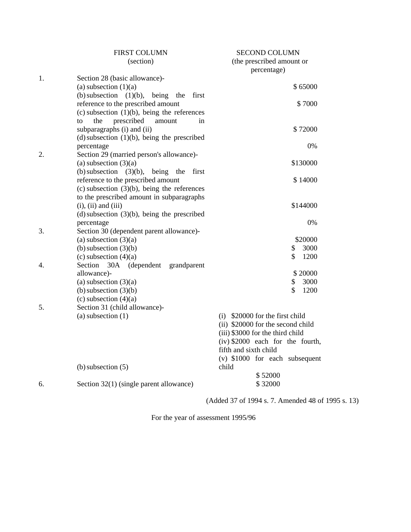|    | <b>FIRST COLUMN</b>                                   | <b>SECOND COLUMN</b>              |
|----|-------------------------------------------------------|-----------------------------------|
|    | (section)                                             | (the prescribed amount or         |
|    |                                                       | percentage)                       |
| 1. | Section 28 (basic allowance)-                         |                                   |
|    | (a) subsection $(1)(a)$                               | \$65000                           |
|    | (b) subsection<br>$(1)(b)$ ,<br>being<br>first<br>the |                                   |
|    | reference to the prescribed amount                    | \$7000                            |
|    | $(c)$ subsection $(1)(b)$ , being the references      |                                   |
|    | prescribed<br>to<br>the<br>amount<br>in               |                                   |
|    | subparagraphs (i) and (ii)                            | \$72000                           |
|    | $(d)$ subsection $(1)(b)$ , being the prescribed      |                                   |
|    | percentage                                            | 0%                                |
| 2. | Section 29 (married person's allowance)-              |                                   |
|    | (a) subsection $(3)(a)$                               | \$130000                          |
|    | (b) subsection $(3)(b)$ ,<br>being the<br>first       |                                   |
|    | reference to the prescribed amount                    | \$14000                           |
|    | (c) subsection $(3)(b)$ , being the references        |                                   |
|    | to the prescribed amount in subparagraphs             |                                   |
|    | $(i)$ , $(ii)$ and $(iii)$                            | \$144000                          |
|    | $(d)$ subsection $(3)(b)$ , being the prescribed      |                                   |
|    | percentage                                            | 0%                                |
| 3. | Section 30 (dependent parent allowance)-              |                                   |
|    | (a) subsection $(3)(a)$                               | \$20000                           |
|    | (b) subsection $(3)(b)$                               | \$<br>3000                        |
|    | (c) subsection $(4)(a)$                               | \$<br>1200                        |
| 4. | Section<br>(dependent)<br>30A<br>grandparent          |                                   |
|    | allowance)-                                           | \$20000                           |
|    | (a) subsection $(3)(a)$                               | \$<br>3000                        |
|    | $(b)$ subsection $(3)(b)$                             | \$<br>1200                        |
|    | (c) subsection $(4)(a)$                               |                                   |
| 5. | Section 31 (child allowance)-                         |                                   |
|    | $(a)$ subsection $(1)$                                | (i) \$20000 for the first child   |
|    |                                                       | (ii) \$20000 for the second child |
|    |                                                       | (iii) \$3000 for the third child  |
|    |                                                       | (iv) \$2000 each for the fourth,  |
|    |                                                       | fifth and sixth child             |
|    |                                                       | $(v)$ \$1000 for each subsequent  |
|    | $(b)$ subsection $(5)$                                | child                             |
|    |                                                       | \$52000                           |
| б. | Section 32(1) (single parent allowance)               | \$32000                           |
|    |                                                       |                                   |

(Added 37 of 1994 s. 7. Amended 48 of 1995 s. 13)

For the year of assessment 1995/96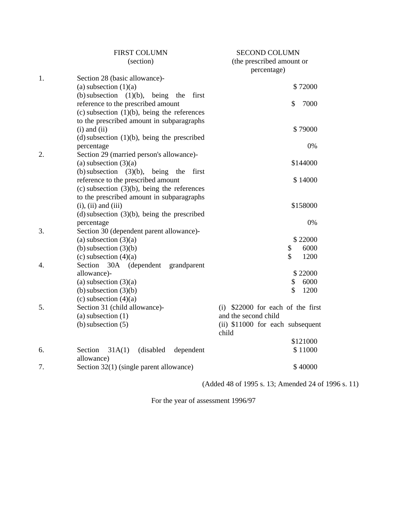|                  | FIRST COLUMN                                                                                  | SECOND COLUMN                             |
|------------------|-----------------------------------------------------------------------------------------------|-------------------------------------------|
|                  | (section)                                                                                     | (the prescribed amount or                 |
|                  |                                                                                               | percentage)                               |
| 1.               | Section 28 (basic allowance)-                                                                 |                                           |
|                  | (a) subsection $(1)(a)$                                                                       | \$72000                                   |
|                  | (b) subsection<br>$(1)(b)$ ,<br>being<br>first<br>the                                         |                                           |
|                  | reference to the prescribed amount                                                            | \$<br>7000                                |
|                  | $(c)$ subsection $(1)(b)$ , being the references<br>to the prescribed amount in subparagraphs |                                           |
|                  | $(i)$ and $(ii)$                                                                              | \$79000                                   |
|                  | $(d)$ subsection $(1)(b)$ , being the prescribed                                              |                                           |
|                  | percentage                                                                                    | 0%                                        |
| 2.               | Section 29 (married person's allowance)-                                                      |                                           |
|                  | (a) subsection $(3)(a)$                                                                       | \$144000                                  |
|                  | (b) subsection<br>$(3)(b)$ , being the<br>first                                               |                                           |
|                  | reference to the prescribed amount                                                            | \$14000                                   |
|                  | $(c)$ subsection $(3)(b)$ , being the references                                              |                                           |
|                  | to the prescribed amount in subparagraphs                                                     |                                           |
|                  | $(i)$ , $(ii)$ and $(iii)$                                                                    | \$158000                                  |
|                  | $(d)$ subsection $(3)(b)$ , being the prescribed                                              |                                           |
| 3.               | percentage                                                                                    | 0%                                        |
|                  | Section 30 (dependent parent allowance)-<br>(a) subsection $(3)(a)$                           | \$22000                                   |
|                  | (b) subsection $(3)(b)$                                                                       | 6000<br>\$                                |
|                  | (c) subsection $(4)(a)$                                                                       | $\mathbf{\hat{S}}$<br>1200                |
| $\overline{4}$ . | Section<br>30A (dependent<br>grandparent                                                      |                                           |
|                  | allowance)-                                                                                   | \$22000                                   |
|                  | (a) subsection $(3)(a)$                                                                       | 6000<br>\$                                |
|                  | (b) subsection $(3)(b)$                                                                       | \$<br>1200                                |
|                  | $(c)$ subsection $(4)(a)$                                                                     |                                           |
| 5.               | Section 31 (child allowance)-                                                                 | (i) \$22000 for each of the first         |
|                  | $(a)$ subsection $(1)$                                                                        | and the second child                      |
|                  | $(b)$ subsection $(5)$                                                                        | (ii) \$11000 for each subsequent<br>child |
|                  |                                                                                               | \$121000                                  |
| 6.               | Section<br>31A(1)<br>(disabled<br>dependent                                                   | \$11000                                   |
| 7.               | allowance)<br>Section 32(1) (single parent allowance)                                         | \$40000                                   |
|                  |                                                                                               |                                           |

(Added 48 of 1995 s. 13; Amended 24 of 1996 s. 11)

For the year of assessment 1996/97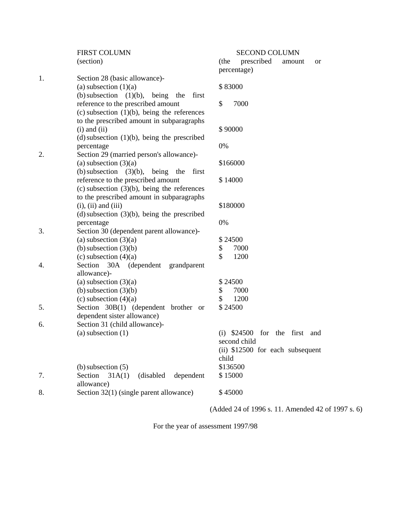|    | <b>FIRST COLUMN</b>                                                                                                                          | <b>SECOND COLUMN</b>                                     |
|----|----------------------------------------------------------------------------------------------------------------------------------------------|----------------------------------------------------------|
|    | (section)                                                                                                                                    | prescribed<br>(the<br>amount<br><b>or</b><br>percentage) |
| 1. | Section 28 (basic allowance)-<br>(a) subsection $(1)(a)$                                                                                     | \$83000                                                  |
|    | (b) subsection $(1)(b)$ ,<br>being<br>first<br>the<br>reference to the prescribed amount<br>$(c)$ subsection $(1)(b)$ , being the references | \$<br>7000                                               |
|    | to the prescribed amount in subparagraphs<br>$(i)$ and $(ii)$<br>(d) subsection $(1)(b)$ , being the prescribed                              | \$90000                                                  |
| 2. | percentage<br>Section 29 (married person's allowance)-                                                                                       | 0%                                                       |
|    | (a) subsection $(3)(a)$                                                                                                                      | \$166000                                                 |
|    | (b) subsection $(3)(b)$ ,<br>being the<br>first<br>reference to the prescribed amount<br>$(c)$ subsection $(3)(b)$ , being the references    | \$14000                                                  |
|    | to the prescribed amount in subparagraphs<br>$(i)$ , $(ii)$ and $(iii)$<br>$(d)$ subsection $(3)(b)$ , being the prescribed                  | \$180000                                                 |
|    | percentage                                                                                                                                   | 0%                                                       |
| 3. | Section 30 (dependent parent allowance)-                                                                                                     |                                                          |
|    | (a) subsection $(3)(a)$                                                                                                                      | \$24500                                                  |
|    | (b) subsection $(3)(b)$<br>(c) subsection $(4)(a)$                                                                                           | \$<br>7000<br>$\mathcal{S}$<br>1200                      |
| 4. | Section<br>30A (dependent<br>grandparent                                                                                                     |                                                          |
|    | allowance)-                                                                                                                                  |                                                          |
|    | (a) subsection $(3)(a)$                                                                                                                      | \$24500                                                  |
|    | (b) subsection $(3)(b)$                                                                                                                      | 7000<br>\$                                               |
|    | (c) subsection $(4)(a)$                                                                                                                      | \$<br>1200                                               |
| 5. | Section 30B(1) (dependent brother or                                                                                                         | \$24500                                                  |
|    | dependent sister allowance)                                                                                                                  |                                                          |
| 6. | Section 31 (child allowance)-                                                                                                                |                                                          |
|    | (a) subsection $(1)$                                                                                                                         | $(i)$ \$24500<br>the first and<br>for                    |
|    |                                                                                                                                              | second child<br>(ii) \$12500 for each subsequent         |
|    |                                                                                                                                              | child                                                    |
|    | $(b)$ subsection $(5)$                                                                                                                       | \$136500                                                 |
| 7. | (disabled<br>dependent<br>Section<br>31A(1)                                                                                                  | \$15000                                                  |
|    | allowance)                                                                                                                                   |                                                          |
| 8. | Section 32(1) (single parent allowance)                                                                                                      | \$45000                                                  |
|    |                                                                                                                                              |                                                          |

(Added 24 of 1996 s. 11. Amended 42 of 1997 s. 6)

For the year of assessment 1997/98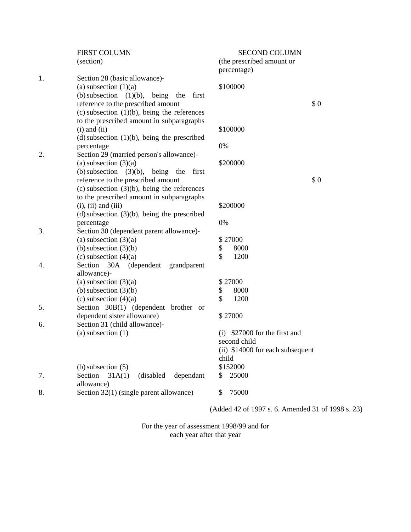|    | <b>FIRST COLUMN</b>                                                 | <b>SECOND COLUMN</b>                              |     |
|----|---------------------------------------------------------------------|---------------------------------------------------|-----|
|    | (section)                                                           | (the prescribed amount or                         |     |
|    |                                                                     | percentage)                                       |     |
| 1. | Section 28 (basic allowance)-                                       |                                                   |     |
|    | (a) subsection $(1)(a)$                                             | \$100000                                          |     |
|    | (b) subsection $(1)(b)$ ,<br>being<br>first<br>the                  |                                                   | \$0 |
|    | reference to the prescribed amount                                  |                                                   |     |
|    | $(c)$ subsection $(1)(b)$ , being the references                    |                                                   |     |
|    | to the prescribed amount in subparagraphs                           |                                                   |     |
|    | $(i)$ and $(ii)$                                                    | \$100000                                          |     |
|    | $(d)$ subsection $(1)(b)$ , being the prescribed                    | 0%                                                |     |
| 2. | percentage                                                          |                                                   |     |
|    | Section 29 (married person's allowance)-<br>(a) subsection $(3)(a)$ | \$200000                                          |     |
|    | (b) subsection $(3)(b)$ ,<br>being<br>the<br>first                  |                                                   |     |
|    | reference to the prescribed amount                                  |                                                   | \$0 |
|    | $(c)$ subsection $(3)(b)$ , being the references                    |                                                   |     |
|    | to the prescribed amount in subparagraphs                           |                                                   |     |
|    | $(i)$ , $(ii)$ and $(iii)$                                          | \$200000                                          |     |
|    | $(d)$ subsection $(3)(b)$ , being the prescribed                    |                                                   |     |
|    | percentage                                                          | 0%                                                |     |
| 3. | Section 30 (dependent parent allowance)-                            |                                                   |     |
|    | (a) subsection $(3)(a)$                                             | \$27000                                           |     |
|    | (b) subsection $(3)(b)$                                             | \$<br>8000                                        |     |
|    | (c) subsection $(4)(a)$                                             | \$<br>1200                                        |     |
| 4. | Section 30A (dependent<br>grandparent                               |                                                   |     |
|    | allowance)-                                                         |                                                   |     |
|    | (a) subsection $(3)(a)$                                             | \$27000                                           |     |
|    | (b) subsection $(3)(b)$                                             | \$<br>8000                                        |     |
|    | (c) subsection $(4)(a)$                                             | \$<br>1200                                        |     |
| 5. | Section 30B(1) (dependent brother or                                |                                                   |     |
|    | dependent sister allowance)                                         | \$27000                                           |     |
| 6. | Section 31 (child allowance)-                                       |                                                   |     |
|    | (a) subsection $(1)$                                                | \$27000 for the first and<br>(i)                  |     |
|    |                                                                     | second child                                      |     |
|    |                                                                     | (ii) \$14000 for each subsequent                  |     |
|    |                                                                     | child                                             |     |
|    | $(b)$ subsection $(5)$                                              | \$152000                                          |     |
| 7. | Section<br>31A(1)<br>(disabled<br>dependant                         | 25000<br>\$                                       |     |
|    | allowance)                                                          |                                                   |     |
| 8. | Section 32(1) (single parent allowance)                             | 75000<br>\$                                       |     |
|    |                                                                     |                                                   |     |
|    |                                                                     | (Added 42 of 1997 s. 6. Amended 31 of 1998 s. 23) |     |

For the year of assessment 1998/99 and for

each year after that year